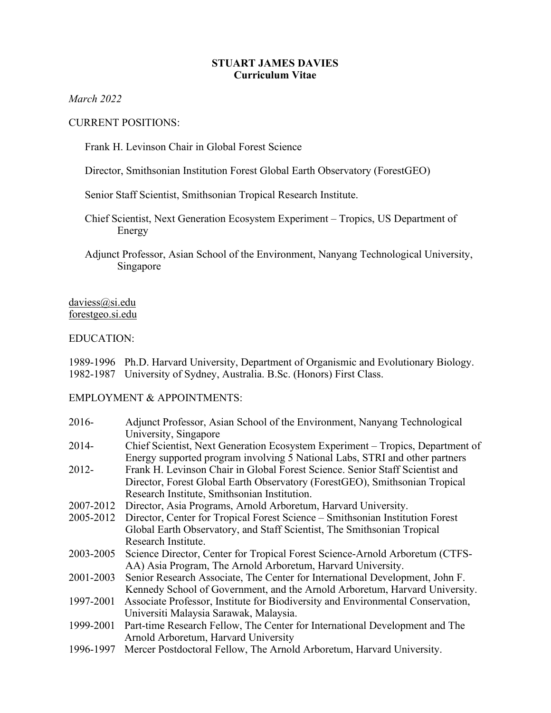### **STUART JAMES DAVIES Curriculum Vitae**

*March 2022*

CURRENT POSITIONS:

Frank H. Levinson Chair in Global Forest Science

Director, Smithsonian Institution Forest Global Earth Observatory (ForestGEO)

Senior Staff Scientist, Smithsonian Tropical Research Institute.

Chief Scientist, Next Generation Ecosystem Experiment – Tropics, US Department of Energy

Adjunct Professor, Asian School of the Environment, Nanyang Technological University, Singapore

daviess@si.edu forestgeo.si.edu

### EDUCATION:

1989-1996 Ph.D. Harvard University, Department of Organismic and Evolutionary Biology. 1982-1987 University of Sydney, Australia. B.Sc. (Honors) First Class.

## EMPLOYMENT & APPOINTMENTS:

| $2016-$   | Adjunct Professor, Asian School of the Environment, Nanyang Technological<br>University, Singapore |
|-----------|----------------------------------------------------------------------------------------------------|
| $2014-$   | Chief Scientist, Next Generation Ecosystem Experiment – Tropics, Department of                     |
|           | Energy supported program involving 5 National Labs, STRI and other partners                        |
| $2012 -$  | Frank H. Levinson Chair in Global Forest Science. Senior Staff Scientist and                       |
|           | Director, Forest Global Earth Observatory (ForestGEO), Smithsonian Tropical                        |
|           | Research Institute, Smithsonian Institution.                                                       |
| 2007-2012 | Director, Asia Programs, Arnold Arboretum, Harvard University.                                     |
| 2005-2012 | Director, Center for Tropical Forest Science – Smithsonian Institution Forest                      |
|           | Global Earth Observatory, and Staff Scientist, The Smithsonian Tropical                            |
|           | Research Institute.                                                                                |
| 2003-2005 | Science Director, Center for Tropical Forest Science-Arnold Arboretum (CTFS-                       |
|           | AA) Asia Program, The Arnold Arboretum, Harvard University.                                        |
| 2001-2003 | Senior Research Associate, The Center for International Development, John F.                       |
|           | Kennedy School of Government, and the Arnold Arboretum, Harvard University.                        |
| 1997-2001 | Associate Professor, Institute for Biodiversity and Environmental Conservation,                    |
|           | Universiti Malaysia Sarawak, Malaysia.                                                             |
| 1999-2001 | Part-time Research Fellow, The Center for International Development and The                        |
|           | Arnold Arboretum, Harvard University                                                               |
| 1996-1997 | Mercer Postdoctoral Fellow, The Arnold Arboretum, Harvard University.                              |
|           |                                                                                                    |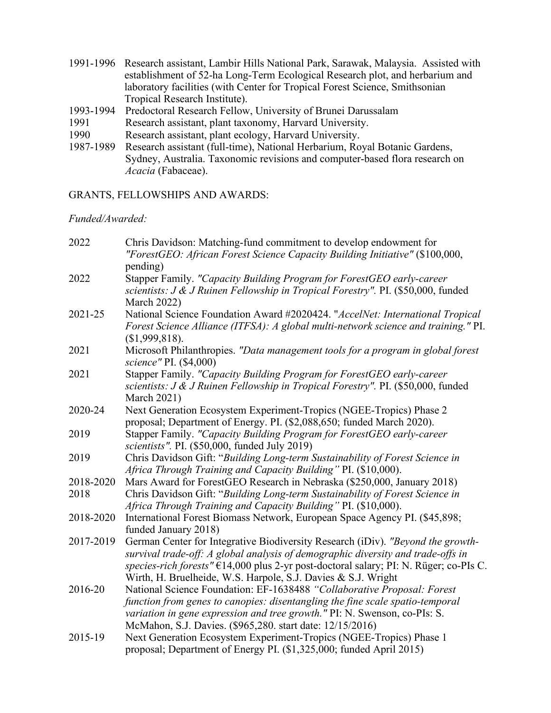- 1991-1996 Research assistant, Lambir Hills National Park, Sarawak, Malaysia. Assisted with establishment of 52-ha Long-Term Ecological Research plot, and herbarium and laboratory facilities (with Center for Tropical Forest Science, Smithsonian Tropical Research Institute).
- 1993-1994 Predoctoral Research Fellow, University of Brunei Darussalam
- 1991 Research assistant, plant taxonomy, Harvard University.
- 1990 Research assistant, plant ecology, Harvard University.
- 1987-1989 Research assistant (full-time), National Herbarium, Royal Botanic Gardens, Sydney, Australia. Taxonomic revisions and computer-based flora research on *Acacia* (Fabaceae).

## GRANTS, FELLOWSHIPS AND AWARDS:

*Funded/Awarded:*

| 2022              | Chris Davidson: Matching-fund commitment to develop endowment for<br>"ForestGEO: African Forest Science Capacity Building Initiative" (\$100,000,<br>pending)                                                                                                                                                                 |
|-------------------|-------------------------------------------------------------------------------------------------------------------------------------------------------------------------------------------------------------------------------------------------------------------------------------------------------------------------------|
| 2022              | Stapper Family. "Capacity Building Program for ForestGEO early-career<br>scientists: J & J Ruinen Fellowship in Tropical Forestry". PI. (\$50,000, funded<br><b>March 2022)</b>                                                                                                                                               |
| 2021-25           | National Science Foundation Award #2020424. "AccelNet: International Tropical<br>Forest Science Alliance (ITFSA): A global multi-network science and training." PI.<br>(\$1,999,818).                                                                                                                                         |
| 2021              | Microsoft Philanthropies. "Data management tools for a program in global forest<br>science" PI. (\$4,000)                                                                                                                                                                                                                     |
| 2021              | Stapper Family. "Capacity Building Program for ForestGEO early-career<br>scientists: J & J Ruinen Fellowship in Tropical Forestry". PI. (\$50,000, funded<br><b>March 2021)</b>                                                                                                                                               |
| 2020-24           | Next Generation Ecosystem Experiment-Tropics (NGEE-Tropics) Phase 2<br>proposal; Department of Energy. PI. (\$2,088,650; funded March 2020).                                                                                                                                                                                  |
| 2019              | Stapper Family. "Capacity Building Program for ForestGEO early-career<br>scientists". PI. (\$50,000, funded July 2019)                                                                                                                                                                                                        |
| 2019              | Chris Davidson Gift: "Building Long-term Sustainability of Forest Science in<br>Africa Through Training and Capacity Building" PI. (\$10,000).                                                                                                                                                                                |
| 2018-2020<br>2018 | Mars Award for ForestGEO Research in Nebraska (\$250,000, January 2018)<br>Chris Davidson Gift: "Building Long-term Sustainability of Forest Science in<br>Africa Through Training and Capacity Building" PI. (\$10,000).                                                                                                     |
| 2018-2020         | International Forest Biomass Network, European Space Agency PI. (\$45,898;<br>funded January 2018)                                                                                                                                                                                                                            |
| 2017-2019         | German Center for Integrative Biodiversity Research (iDiv). "Beyond the growth-<br>survival trade-off: A global analysis of demographic diversity and trade-offs in<br>species-rich forests" €14,000 plus 2-yr post-doctoral salary; PI: N. Rüger; co-PIs C.<br>Wirth, H. Bruelheide, W.S. Harpole, S.J. Davies & S.J. Wright |
| 2016-20           | National Science Foundation: EF-1638488 "Collaborative Proposal: Forest<br>function from genes to canopies: disentangling the fine scale spatio-temporal<br>variation in gene expression and tree growth." PI: N. Swenson, co-PIs: S.<br>McMahon, S.J. Davies. (\$965,280. start date: 12/15/2016)                            |
| 2015-19           | Next Generation Ecosystem Experiment-Tropics (NGEE-Tropics) Phase 1<br>proposal; Department of Energy PI. (\$1,325,000; funded April 2015)                                                                                                                                                                                    |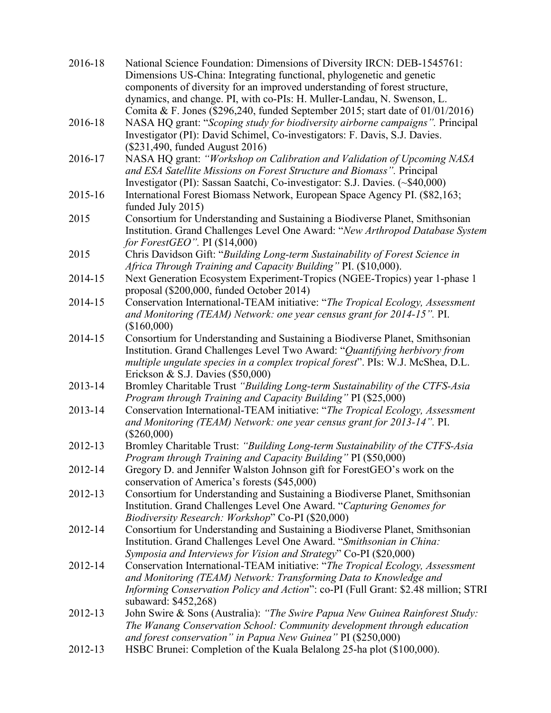| 2016-18 | National Science Foundation: Dimensions of Diversity IRCN: DEB-1545761:<br>Dimensions US-China: Integrating functional, phylogenetic and genetic      |
|---------|-------------------------------------------------------------------------------------------------------------------------------------------------------|
|         | components of diversity for an improved understanding of forest structure,<br>dynamics, and change. PI, with co-PIs: H. Muller-Landau, N. Swenson, L. |
|         | Comita & F. Jones (\$296,240, funded September 2015; start date of 01/01/2016)                                                                        |
| 2016-18 | NASA HQ grant: "Scoping study for biodiversity airborne campaigns". Principal                                                                         |
|         | Investigator (PI): David Schimel, Co-investigators: F. Davis, S.J. Davies.<br>(\$231,490, funded August 2016)                                         |
| 2016-17 | NASA HQ grant: "Workshop on Calibration and Validation of Upcoming NASA                                                                               |
|         | and ESA Satellite Missions on Forest Structure and Biomass". Principal                                                                                |
|         | Investigator (PI): Sassan Saatchi, Co-investigator: S.J. Davies. (~\$40,000)                                                                          |
| 2015-16 | International Forest Biomass Network, European Space Agency PI. (\$82,163;                                                                            |
|         | funded July 2015)                                                                                                                                     |
| 2015    | Consortium for Understanding and Sustaining a Biodiverse Planet, Smithsonian                                                                          |
|         | Institution. Grand Challenges Level One Award: "New Arthropod Database System                                                                         |
|         | for ForestGEO". PI $(\$14,000)$                                                                                                                       |
| 2015    | Chris Davidson Gift: "Building Long-term Sustainability of Forest Science in                                                                          |
| 2014-15 | Africa Through Training and Capacity Building" PI. (\$10,000).<br>Next Generation Ecosystem Experiment-Tropics (NGEE-Tropics) year 1-phase 1          |
|         | proposal (\$200,000, funded October 2014)                                                                                                             |
| 2014-15 | Conservation International-TEAM initiative: "The Tropical Ecology, Assessment                                                                         |
|         | and Monitoring (TEAM) Network: one year census grant for 2014-15". PI.                                                                                |
|         | (\$160,000)                                                                                                                                           |
| 2014-15 | Consortium for Understanding and Sustaining a Biodiverse Planet, Smithsonian                                                                          |
|         | Institution. Grand Challenges Level Two Award: "Quantifying herbivory from                                                                            |
|         | multiple ungulate species in a complex tropical forest". PIs: W.J. McShea, D.L.                                                                       |
|         | Erickson & S.J. Davies (\$50,000)                                                                                                                     |
| 2013-14 | Bromley Charitable Trust "Building Long-term Sustainability of the CTFS-Asia                                                                          |
|         | Program through Training and Capacity Building" PI (\$25,000)                                                                                         |
| 2013-14 | Conservation International-TEAM initiative: "The Tropical Ecology, Assessment                                                                         |
|         | and Monitoring (TEAM) Network: one year census grant for 2013-14". PI.                                                                                |
| 2012-13 | $(\$260,000)$<br>Bromley Charitable Trust: "Building Long-term Sustainability of the CTFS-Asia                                                        |
|         | Program through Training and Capacity Building" PI (\$50,000)                                                                                         |
| 2012-14 | Gregory D. and Jennifer Walston Johnson gift for ForestGEO's work on the                                                                              |
|         | conservation of America's forests (\$45,000)                                                                                                          |
| 2012-13 | Consortium for Understanding and Sustaining a Biodiverse Planet, Smithsonian                                                                          |
|         | Institution. Grand Challenges Level One Award. "Capturing Genomes for                                                                                 |
|         | Biodiversity Research: Workshop" Co-PI (\$20,000)                                                                                                     |
| 2012-14 | Consortium for Understanding and Sustaining a Biodiverse Planet, Smithsonian                                                                          |
|         | Institution. Grand Challenges Level One Award. "Smithsonian in China:                                                                                 |
|         | Symposia and Interviews for Vision and Strategy" Co-PI (\$20,000)                                                                                     |
| 2012-14 | Conservation International-TEAM initiative: "The Tropical Ecology, Assessment                                                                         |
|         | and Monitoring (TEAM) Network: Transforming Data to Knowledge and                                                                                     |
|         | Informing Conservation Policy and Action": co-PI (Full Grant: \$2.48 million; STRI                                                                    |
|         | subaward: \$452,268)                                                                                                                                  |
| 2012-13 | John Swire & Sons (Australia): "The Swire Papua New Guinea Rainforest Study:                                                                          |
|         | The Wanang Conservation School: Community development through education                                                                               |
| 2012-13 | and forest conservation" in Papua New Guinea" PI (\$250,000)                                                                                          |
|         | HSBC Brunei: Completion of the Kuala Belalong 25-ha plot (\$100,000).                                                                                 |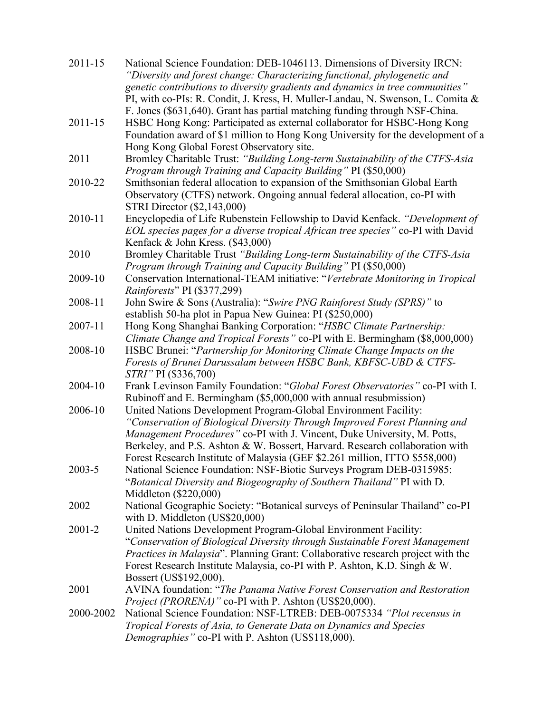| $2011 - 15$ | National Science Foundation: DEB-1046113. Dimensions of Diversity IRCN:<br>"Diversity and forest change: Characterizing functional, phylogenetic and |
|-------------|------------------------------------------------------------------------------------------------------------------------------------------------------|
|             | genetic contributions to diversity gradients and dynamics in tree communities"                                                                       |
|             | PI, with co-PIs: R. Condit, J. Kress, H. Muller-Landau, N. Swenson, L. Comita &                                                                      |
|             | F. Jones (\$631,640). Grant has partial matching funding through NSF-China.                                                                          |
| $2011 - 15$ | HSBC Hong Kong: Participated as external collaborator for HSBC-Hong Kong                                                                             |
|             | Foundation award of \$1 million to Hong Kong University for the development of a                                                                     |
|             | Hong Kong Global Forest Observatory site.                                                                                                            |
| 2011        | Bromley Charitable Trust: "Building Long-term Sustainability of the CTFS-Asia                                                                        |
|             | Program through Training and Capacity Building" PI (\$50,000)                                                                                        |
| 2010-22     | Smithsonian federal allocation to expansion of the Smithsonian Global Earth                                                                          |
|             | Observatory (CTFS) network. Ongoing annual federal allocation, co-PI with                                                                            |
|             | STRI Director (\$2,143,000)                                                                                                                          |
| 2010-11     | Encyclopedia of Life Rubenstein Fellowship to David Kenfack. "Development of                                                                         |
|             | EOL species pages for a diverse tropical African tree species" co-PI with David                                                                      |
|             | Kenfack & John Kress. (\$43,000)                                                                                                                     |
| 2010        | Bromley Charitable Trust "Building Long-term Sustainability of the CTFS-Asia                                                                         |
|             | Program through Training and Capacity Building" PI (\$50,000)                                                                                        |
| 2009-10     | Conservation International-TEAM initiative: "Vertebrate Monitoring in Tropical                                                                       |
|             | Rainforests" PI (\$377,299)                                                                                                                          |
| 2008-11     | John Swire & Sons (Australia): "Swire PNG Rainforest Study (SPRS)" to                                                                                |
|             | establish 50-ha plot in Papua New Guinea: PI (\$250,000)                                                                                             |
| 2007-11     | Hong Kong Shanghai Banking Corporation: "HSBC Climate Partnership:                                                                                   |
|             | Climate Change and Tropical Forests" co-PI with E. Bermingham (\$8,000,000)                                                                          |
| 2008-10     | HSBC Brunei: "Partnership for Monitoring Climate Change Impacts on the                                                                               |
|             | Forests of Brunei Darussalam between HSBC Bank, KBFSC-UBD & CTFS-                                                                                    |
| 2004-10     | <i>STRI</i> " PI (\$336,700)                                                                                                                         |
|             | Frank Levinson Family Foundation: "Global Forest Observatories" co-PI with I.<br>Rubinoff and E. Bermingham (\$5,000,000 with annual resubmission)   |
| 2006-10     | United Nations Development Program-Global Environment Facility:                                                                                      |
|             | "Conservation of Biological Diversity Through Improved Forest Planning and                                                                           |
|             | Management Procedures" co-PI with J. Vincent, Duke University, M. Potts,                                                                             |
|             | Berkeley, and P.S. Ashton & W. Bossert, Harvard. Research collaboration with                                                                         |
|             | Forest Research Institute of Malaysia (GEF \$2.261 million, ITTO \$558,000)                                                                          |
| 2003-5      | National Science Foundation: NSF-Biotic Surveys Program DEB-0315985:                                                                                 |
|             | "Botanical Diversity and Biogeography of Southern Thailand" PI with D.                                                                               |
|             | Middleton (\$220,000)                                                                                                                                |
| 2002        | National Geographic Society: "Botanical surveys of Peninsular Thailand" co-PI                                                                        |
|             | with D. Middleton (US\$20,000)                                                                                                                       |
| 2001-2      | United Nations Development Program-Global Environment Facility:                                                                                      |
|             | "Conservation of Biological Diversity through Sustainable Forest Management                                                                          |
|             | Practices in Malaysia". Planning Grant: Collaborative research project with the                                                                      |
|             | Forest Research Institute Malaysia, co-PI with P. Ashton, K.D. Singh & W.                                                                            |
|             | Bossert (US\$192,000).                                                                                                                               |
| 2001        | AVINA foundation: "The Panama Native Forest Conservation and Restoration                                                                             |
|             | <i>Project (PRORENA)</i> " co-PI with P. Ashton (US\$20,000).                                                                                        |
| 2000-2002   | National Science Foundation: NSF-LTREB: DEB-0075334 "Plot recensus in                                                                                |
|             | Tropical Forests of Asia, to Generate Data on Dynamics and Species                                                                                   |
|             | Demographies" co-PI with P. Ashton (US\$118,000).                                                                                                    |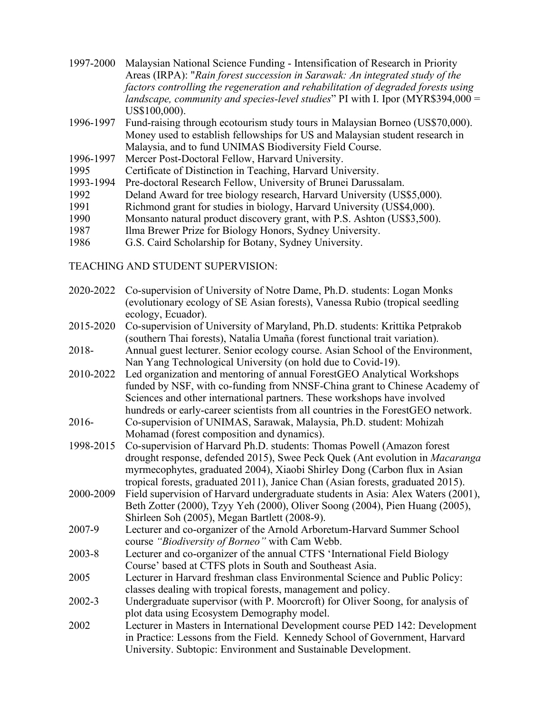- 1997-2000 Malaysian National Science Funding Intensification of Research in Priority Areas (IRPA): "*Rain forest succession in Sarawak: An integrated study of the factors controlling the regeneration and rehabilitation of degraded forests using landscape, community and species-level studies*" PI with I. Ipor (MYR\$394,000 = US\$100,000).
- 1996-1997 Fund-raising through ecotourism study tours in Malaysian Borneo (US\$70,000). Money used to establish fellowships for US and Malaysian student research in Malaysia, and to fund UNIMAS Biodiversity Field Course.
- 1996-1997 Mercer Post-Doctoral Fellow, Harvard University.
- 1995 Certificate of Distinction in Teaching, Harvard University.
- 1993-1994 Pre-doctoral Research Fellow, University of Brunei Darussalam.
- 1992 Deland Award for tree biology research, Harvard University (US\$5,000).
- 1991 Richmond grant for studies in biology, Harvard University (US\$4,000).<br>1990 Monsanto natural product discovery grant, with P.S. Ashton (US\$3,500)
- Monsanto natural product discovery grant, with P.S. Ashton (US\$3,500).
- 1987 Ilma Brewer Prize for Biology Honors, Sydney University.
- 1986 G.S. Caird Scholarship for Botany, Sydney University.

TEACHING AND STUDENT SUPERVISION:

- 2020-2022 Co-supervision of University of Notre Dame, Ph.D. students: Logan Monks (evolutionary ecology of SE Asian forests), Vanessa Rubio (tropical seedling ecology, Ecuador).
- 2015-2020 Co-supervision of University of Maryland, Ph.D. students: Krittika Petprakob (southern Thai forests), Natalia Umaña (forest functional trait variation).
- 2018- Annual guest lecturer. Senior ecology course. Asian School of the Environment, Nan Yang Technological University (on hold due to Covid-19).
- 2010-2022 Led organization and mentoring of annual ForestGEO Analytical Workshops funded by NSF, with co-funding from NNSF-China grant to Chinese Academy of Sciences and other international partners. These workshops have involved hundreds or early-career scientists from all countries in the ForestGEO network.
- 2016- Co-supervision of UNIMAS, Sarawak, Malaysia, Ph.D. student: Mohizah Mohamad (forest composition and dynamics).
- 1998-2015 Co-supervision of Harvard Ph.D. students: Thomas Powell (Amazon forest drought response, defended 2015), Swee Peck Quek (Ant evolution in *Macaranga* myrmecophytes, graduated 2004), Xiaobi Shirley Dong (Carbon flux in Asian tropical forests, graduated 2011), Janice Chan (Asian forests, graduated 2015).
- 2000-2009 Field supervision of Harvard undergraduate students in Asia: Alex Waters (2001), Beth Zotter (2000), Tzyy Yeh (2000), Oliver Soong (2004), Pien Huang (2005), Shirleen Soh (2005), Megan Bartlett (2008-9).
- 2007-9 Lecturer and co-organizer of the Arnold Arboretum-Harvard Summer School course *"Biodiversity of Borneo"* with Cam Webb.
- 2003-8 Lecturer and co-organizer of the annual CTFS 'International Field Biology Course' based at CTFS plots in South and Southeast Asia.
- 2005 Lecturer in Harvard freshman class Environmental Science and Public Policy: classes dealing with tropical forests, management and policy.
- 2002-3 Undergraduate supervisor (with P. Moorcroft) for Oliver Soong, for analysis of plot data using Ecosystem Demography model.
- 2002 Lecturer in Masters in International Development course PED 142: Development in Practice: Lessons from the Field. Kennedy School of Government, Harvard University. Subtopic: Environment and Sustainable Development.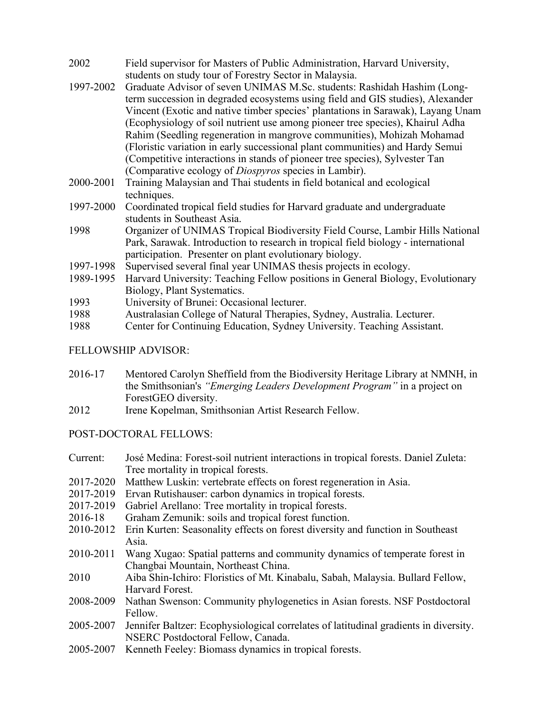- 2002 Field supervisor for Masters of Public Administration, Harvard University, students on study tour of Forestry Sector in Malaysia.
- 1997-2002 Graduate Advisor of seven UNIMAS M.Sc. students: Rashidah Hashim (Longterm succession in degraded ecosystems using field and GIS studies), Alexander Vincent (Exotic and native timber species' plantations in Sarawak), Layang Unam (Ecophysiology of soil nutrient use among pioneer tree species), Khairul Adha Rahim (Seedling regeneration in mangrove communities), Mohizah Mohamad (Floristic variation in early successional plant communities) and Hardy Semui (Competitive interactions in stands of pioneer tree species), Sylvester Tan (Comparative ecology of *Diospyros* species in Lambir).
- 2000-2001 Training Malaysian and Thai students in field botanical and ecological techniques.
- 1997-2000 Coordinated tropical field studies for Harvard graduate and undergraduate students in Southeast Asia.
- 1998 Organizer of UNIMAS Tropical Biodiversity Field Course, Lambir Hills National Park, Sarawak. Introduction to research in tropical field biology - international participation. Presenter on plant evolutionary biology.
- 1997-1998 Supervised several final year UNIMAS thesis projects in ecology.
- 1989-1995 Harvard University: Teaching Fellow positions in General Biology, Evolutionary Biology, Plant Systematics.
- 1993 University of Brunei: Occasional lecturer.
- 1988 Australasian College of Natural Therapies, Sydney, Australia. Lecturer.
- 1988 Center for Continuing Education, Sydney University. Teaching Assistant.

### FELLOWSHIP ADVISOR:

- 2016-17 Mentored Carolyn Sheffield from the Biodiversity Heritage Library at NMNH, in the Smithsonian's *"Emerging Leaders Development Program"* in a project on ForestGEO diversity.
- 2012 Irene Kopelman, Smithsonian Artist Research Fellow.

## POST-DOCTORAL FELLOWS:

- Current: José Medina: Forest-soil nutrient interactions in tropical forests. Daniel Zuleta: Tree mortality in tropical forests.
- 2017-2020 Matthew Luskin: vertebrate effects on forest regeneration in Asia.
- 2017-2019 Ervan Rutishauser: carbon dynamics in tropical forests.
- 2017-2019 Gabriel Arellano: Tree mortality in tropical forests.
- 2016-18 Graham Zemunik: soils and tropical forest function.
- 2010-2012 Erin Kurten: Seasonality effects on forest diversity and function in Southeast Asia.
- 2010-2011 Wang Xugao: Spatial patterns and community dynamics of temperate forest in Changbai Mountain, Northeast China.
- 2010 Aiba Shin-Ichiro: Floristics of Mt. Kinabalu, Sabah, Malaysia. Bullard Fellow, Harvard Forest.
- 2008-2009 Nathan Swenson: Community phylogenetics in Asian forests. NSF Postdoctoral Fellow.
- 2005-2007 Jennifer Baltzer: Ecophysiological correlates of latitudinal gradients in diversity. NSERC Postdoctoral Fellow, Canada.
- 2005-2007 Kenneth Feeley: Biomass dynamics in tropical forests.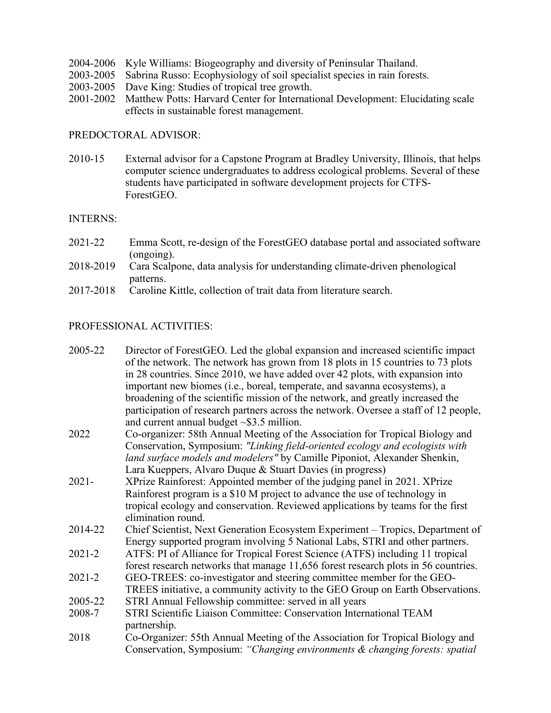- 2004-2006 Kyle Williams: Biogeography and diversity of Peninsular Thailand.
- 2003-2005 Sabrina Russo: Ecophysiology of soil specialist species in rain forests.
- 2003-2005 Dave King: Studies of tropical tree growth.
- 2001-2002 Matthew Potts: Harvard Center for International Development: Elucidating scale effects in sustainable forest management.

### PREDOCTORAL ADVISOR:

2010-15 External advisor for a Capstone Program at Bradley University, Illinois, that helps computer science undergraduates to address ecological problems. Several of these students have participated in software development projects for CTFS-ForestGEO.

### INTERNS:

- 2021-22 Emma Scott, re-design of the ForestGEO database portal and associated software (ongoing).
- 2018-2019 Cara Scalpone, data analysis for understanding climate-driven phenological patterns.
- 2017-2018 Caroline Kittle, collection of trait data from literature search.

## PROFESSIONAL ACTIVITIES:

| 2005-22    | Director of ForestGEO. Led the global expansion and increased scientific impact<br>of the network. The network has grown from 18 plots in 15 countries to 73 plots<br>in 28 countries. Since 2010, we have added over 42 plots, with expansion into<br>important new biomes (i.e., boreal, temperate, and savanna ecosystems), a<br>broadening of the scientific mission of the network, and greatly increased the<br>participation of research partners across the network. Oversee a staff of 12 people,<br>and current annual budget $\sim$ \$3.5 million. |
|------------|---------------------------------------------------------------------------------------------------------------------------------------------------------------------------------------------------------------------------------------------------------------------------------------------------------------------------------------------------------------------------------------------------------------------------------------------------------------------------------------------------------------------------------------------------------------|
| 2022       | Co-organizer: 58th Annual Meeting of the Association for Tropical Biology and<br>Conservation, Symposium: "Linking field-oriented ecology and ecologists with<br>land surface models and modelers" by Camille Piponiot, Alexander Shenkin,<br>Lara Kueppers, Alvaro Duque & Stuart Davies (in progress)                                                                                                                                                                                                                                                       |
| $2021 -$   | XPrize Rainforest: Appointed member of the judging panel in 2021. XPrize<br>Rainforest program is a \$10 M project to advance the use of technology in<br>tropical ecology and conservation. Reviewed applications by teams for the first<br>elimination round.                                                                                                                                                                                                                                                                                               |
| 2014-22    | Chief Scientist, Next Generation Ecosystem Experiment – Tropics, Department of<br>Energy supported program involving 5 National Labs, STRI and other partners.                                                                                                                                                                                                                                                                                                                                                                                                |
| $2021 - 2$ | ATFS: PI of Alliance for Tropical Forest Science (ATFS) including 11 tropical<br>forest research networks that manage 11,656 forest research plots in 56 countries.                                                                                                                                                                                                                                                                                                                                                                                           |
| $2021 - 2$ | GEO-TREES: co-investigator and steering committee member for the GEO-<br>TREES initiative, a community activity to the GEO Group on Earth Observations.                                                                                                                                                                                                                                                                                                                                                                                                       |
| 2005-22    | STRI Annual Fellowship committee: served in all years                                                                                                                                                                                                                                                                                                                                                                                                                                                                                                         |
| 2008-7     | STRI Scientific Liaison Committee: Conservation International TEAM<br>partnership.                                                                                                                                                                                                                                                                                                                                                                                                                                                                            |
| 2018       | Co-Organizer: 55th Annual Meeting of the Association for Tropical Biology and<br>Conservation, Symposium: "Changing environments & changing forests: spatial                                                                                                                                                                                                                                                                                                                                                                                                  |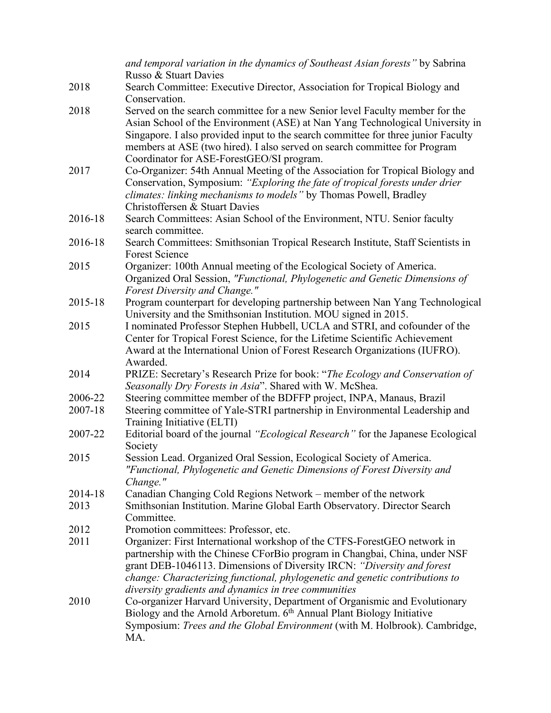|         | and temporal variation in the dynamics of Southeast Asian forests" by Sabrina                                                                                                                                                                                                                                                                                                |
|---------|------------------------------------------------------------------------------------------------------------------------------------------------------------------------------------------------------------------------------------------------------------------------------------------------------------------------------------------------------------------------------|
|         | Russo & Stuart Davies                                                                                                                                                                                                                                                                                                                                                        |
| 2018    | Search Committee: Executive Director, Association for Tropical Biology and<br>Conservation.                                                                                                                                                                                                                                                                                  |
| 2018    | Served on the search committee for a new Senior level Faculty member for the<br>Asian School of the Environment (ASE) at Nan Yang Technological University in<br>Singapore. I also provided input to the search committee for three junior Faculty<br>members at ASE (two hired). I also served on search committee for Program<br>Coordinator for ASE-ForestGEO/SI program. |
| 2017    | Co-Organizer: 54th Annual Meeting of the Association for Tropical Biology and<br>Conservation, Symposium: "Exploring the fate of tropical forests under drier<br>climates: linking mechanisms to models" by Thomas Powell, Bradley<br>Christoffersen & Stuart Davies                                                                                                         |
| 2016-18 | Search Committees: Asian School of the Environment, NTU. Senior faculty<br>search committee.                                                                                                                                                                                                                                                                                 |
| 2016-18 | Search Committees: Smithsonian Tropical Research Institute, Staff Scientists in<br><b>Forest Science</b>                                                                                                                                                                                                                                                                     |
| 2015    | Organizer: 100th Annual meeting of the Ecological Society of America.<br>Organized Oral Session, "Functional, Phylogenetic and Genetic Dimensions of<br><b>Forest Diversity and Change."</b>                                                                                                                                                                                 |
| 2015-18 | Program counterpart for developing partnership between Nan Yang Technological<br>University and the Smithsonian Institution. MOU signed in 2015.                                                                                                                                                                                                                             |
| 2015    | I nominated Professor Stephen Hubbell, UCLA and STRI, and cofounder of the<br>Center for Tropical Forest Science, for the Lifetime Scientific Achievement<br>Award at the International Union of Forest Research Organizations (IUFRO).<br>Awarded.                                                                                                                          |
| 2014    | PRIZE: Secretary's Research Prize for book: "The Ecology and Conservation of<br>Seasonally Dry Forests in Asia". Shared with W. McShea.                                                                                                                                                                                                                                      |
| 2006-22 | Steering committee member of the BDFFP project, INPA, Manaus, Brazil                                                                                                                                                                                                                                                                                                         |
| 2007-18 | Steering committee of Yale-STRI partnership in Environmental Leadership and<br>Training Initiative (ELTI)                                                                                                                                                                                                                                                                    |
| 2007-22 | Editorial board of the journal "Ecological Research" for the Japanese Ecological<br>Society                                                                                                                                                                                                                                                                                  |
| 2015    | Session Lead. Organized Oral Session, Ecological Society of America.<br>"Functional, Phylogenetic and Genetic Dimensions of Forest Diversity and<br>Change."                                                                                                                                                                                                                 |
| 2014-18 | Canadian Changing Cold Regions Network - member of the network                                                                                                                                                                                                                                                                                                               |
| 2013    | Smithsonian Institution. Marine Global Earth Observatory. Director Search<br>Committee.                                                                                                                                                                                                                                                                                      |
| 2012    | Promotion committees: Professor, etc.                                                                                                                                                                                                                                                                                                                                        |
| 2011    | Organizer: First International workshop of the CTFS-ForestGEO network in<br>partnership with the Chinese CForBio program in Changbai, China, under NSF<br>grant DEB-1046113. Dimensions of Diversity IRCN: "Diversity and forest<br>change: Characterizing functional, phylogenetic and genetic contributions to<br>diversity gradients and dynamics in tree communities     |
| 2010    | Co-organizer Harvard University, Department of Organismic and Evolutionary<br>Biology and the Arnold Arboretum. 6 <sup>th</sup> Annual Plant Biology Initiative<br>Symposium: Trees and the Global Environment (with M. Holbrook). Cambridge,<br>MA.                                                                                                                         |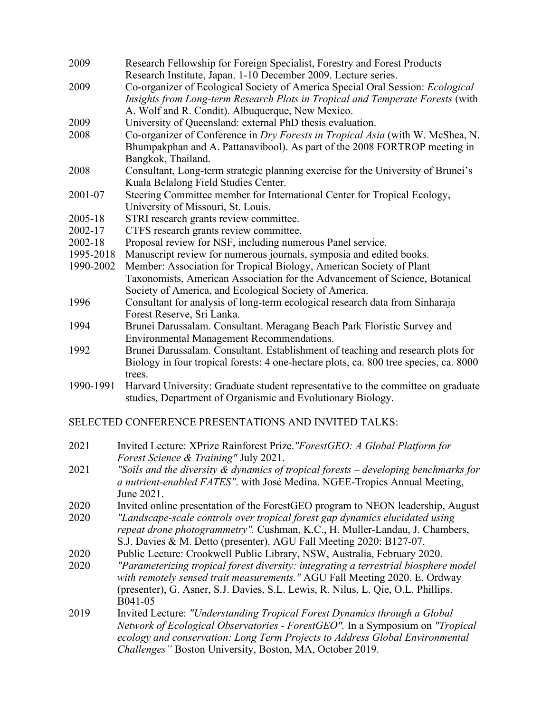| 2009      | Research Fellowship for Foreign Specialist, Forestry and Forest Products<br>Research Institute, Japan. 1-10 December 2009. Lecture series.                                                                           |
|-----------|----------------------------------------------------------------------------------------------------------------------------------------------------------------------------------------------------------------------|
| 2009      | Co-organizer of Ecological Society of America Special Oral Session: Ecological<br>Insights from Long-term Research Plots in Tropical and Temperate Forests (with<br>A. Wolf and R. Condit). Albuquerque, New Mexico. |
| 2009      | University of Queensland: external PhD thesis evaluation.                                                                                                                                                            |
| 2008      | Co-organizer of Conference in Dry Forests in Tropical Asia (with W. McShea, N.                                                                                                                                       |
|           | Bhumpakphan and A. Pattanavibool). As part of the 2008 FORTROP meeting in<br>Bangkok, Thailand.                                                                                                                      |
| 2008      | Consultant, Long-term strategic planning exercise for the University of Brunei's                                                                                                                                     |
|           | Kuala Belalong Field Studies Center.                                                                                                                                                                                 |
| 2001-07   | Steering Committee member for International Center for Tropical Ecology,<br>University of Missouri, St. Louis.                                                                                                       |
| 2005-18   | STRI research grants review committee.                                                                                                                                                                               |
| 2002-17   | CTFS research grants review committee.                                                                                                                                                                               |
| 2002-18   | Proposal review for NSF, including numerous Panel service.                                                                                                                                                           |
| 1995-2018 | Manuscript review for numerous journals, symposia and edited books.                                                                                                                                                  |
| 1990-2002 | Member: Association for Tropical Biology, American Society of Plant                                                                                                                                                  |
|           | Taxonomists, American Association for the Advancement of Science, Botanical                                                                                                                                          |
|           | Society of America, and Ecological Society of America.                                                                                                                                                               |
| 1996      | Consultant for analysis of long-term ecological research data from Sinharaja<br>Forest Reserve, Sri Lanka.                                                                                                           |
| 1994      | Brunei Darussalam. Consultant. Meragang Beach Park Floristic Survey and<br>Environmental Management Recommendations.                                                                                                 |
| 1992      | Brunei Darussalam. Consultant. Establishment of teaching and research plots for<br>Biology in four tropical forests: 4 one-hectare plots, ca. 800 tree species, ca. 8000                                             |
| 1990-1991 | trees.                                                                                                                                                                                                               |
|           | Harvard University: Graduate student representative to the committee on graduate<br>studies, Department of Organismic and Evolutionary Biology.                                                                      |
|           | SELECTED CONFERENCE PRESENTATIONS AND INVITED TALKS:                                                                                                                                                                 |

| 2021 | Invited Lecture: XPrize Rainforest Prize."ForestGEO: A Global Platform for |
|------|----------------------------------------------------------------------------|
|      | <i>Forest Science &amp; Training"</i> July 2021.                           |

- 2021 *"Soils and the diversity & dynamics of tropical forests – developing benchmarks for a nutrient-enabled FATES"*. with José Medina. NGEE-Tropics Annual Meeting, June 2021.
- 2020 Invited online presentation of the ForestGEO program to NEON leadership, August 2020 *"Landscape-scale controls over tropical forest gap dynamics elucidated using*
- "Landscape-scale controls over tropical forest gap dynamics elucidated using *repeat drone photogrammetry".* Cushman, K.C., H. Muller-Landau, J. Chambers, S.J. Davies & M. Detto (presenter). AGU Fall Meeting 2020: B127-07.
- 2020 Public Lecture: Crookwell Public Library, NSW, Australia, February 2020.
- 2020 *"Parameterizing tropical forest diversity: integrating a terrestrial biosphere model with remotely sensed trait measurements."* AGU Fall Meeting 2020. E. Ordway (presenter), G. Asner, S.J. Davies, S.L. Lewis, R. Nilus, L. Qie, O.L. Phillips. B041-05
- 2019 Invited Lecture: *"Understanding Tropical Forest Dynamics through a Global Network of Ecological Observatories - ForestGEO".* In a Symposium on *"Tropical ecology and conservation: Long Term Projects to Address Global Environmental Challenges"* Boston University, Boston, MA, October 2019.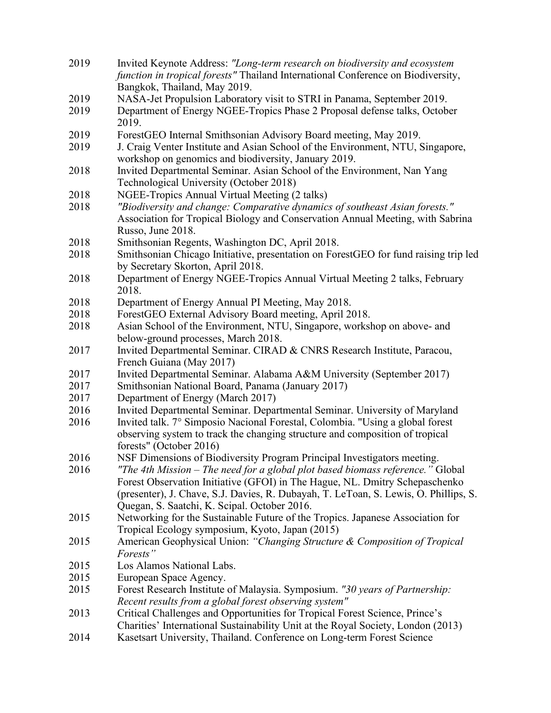| 2019 | Invited Keynote Address: "Long-term research on biodiversity and ecosystem           |
|------|--------------------------------------------------------------------------------------|
|      | function in tropical forests" Thailand International Conference on Biodiversity,     |
|      | Bangkok, Thailand, May 2019.                                                         |
| 2019 | NASA-Jet Propulsion Laboratory visit to STRI in Panama, September 2019.              |
| 2019 | Department of Energy NGEE-Tropics Phase 2 Proposal defense talks, October            |
|      | 2019.                                                                                |
| 2019 | ForestGEO Internal Smithsonian Advisory Board meeting, May 2019.                     |
| 2019 | J. Craig Venter Institute and Asian School of the Environment, NTU, Singapore,       |
|      | workshop on genomics and biodiversity, January 2019.                                 |
| 2018 | Invited Departmental Seminar. Asian School of the Environment, Nan Yang              |
|      | Technological University (October 2018)                                              |
| 2018 | NGEE-Tropics Annual Virtual Meeting (2 talks)                                        |
|      |                                                                                      |
| 2018 | "Biodiversity and change: Comparative dynamics of southeast Asian forests."          |
|      | Association for Tropical Biology and Conservation Annual Meeting, with Sabrina       |
|      | Russo, June 2018.                                                                    |
| 2018 | Smithsonian Regents, Washington DC, April 2018.                                      |
| 2018 | Smithsonian Chicago Initiative, presentation on ForestGEO for fund raising trip led  |
|      | by Secretary Skorton, April 2018.                                                    |
| 2018 | Department of Energy NGEE-Tropics Annual Virtual Meeting 2 talks, February           |
|      | 2018.                                                                                |
| 2018 | Department of Energy Annual PI Meeting, May 2018.                                    |
| 2018 | ForestGEO External Advisory Board meeting, April 2018.                               |
| 2018 | Asian School of the Environment, NTU, Singapore, workshop on above- and              |
|      | below-ground processes, March 2018.                                                  |
| 2017 | Invited Departmental Seminar. CIRAD & CNRS Research Institute, Paracou,              |
|      | French Guiana (May 2017)                                                             |
| 2017 | Invited Departmental Seminar. Alabama A&M University (September 2017)                |
| 2017 | Smithsonian National Board, Panama (January 2017)                                    |
| 2017 | Department of Energy (March 2017)                                                    |
| 2016 | Invited Departmental Seminar. Departmental Seminar. University of Maryland           |
| 2016 | Invited talk. 7° Simposio Nacional Forestal, Colombia. "Using a global forest        |
|      | observing system to track the changing structure and composition of tropical         |
|      | forests" (October 2016)                                                              |
| 2016 | NSF Dimensions of Biodiversity Program Principal Investigators meeting.              |
| 2016 | "The 4th Mission – The need for a global plot based biomass reference." Global       |
|      | Forest Observation Initiative (GFOI) in The Hague, NL. Dmitry Schepaschenko          |
|      | (presenter), J. Chave, S.J. Davies, R. Dubayah, T. LeToan, S. Lewis, O. Phillips, S. |
|      | Quegan, S. Saatchi, K. Scipal. October 2016.                                         |
| 2015 | Networking for the Sustainable Future of the Tropics. Japanese Association for       |
|      | Tropical Ecology symposium, Kyoto, Japan (2015)                                      |
| 2015 | American Geophysical Union: "Changing Structure & Composition of Tropical            |
|      | Forests"                                                                             |
| 2015 | Los Alamos National Labs.                                                            |
| 2015 |                                                                                      |
|      | European Space Agency.                                                               |
| 2015 | Forest Research Institute of Malaysia. Symposium. "30 years of Partnership:          |
|      | Recent results from a global forest observing system"                                |
| 2013 | Critical Challenges and Opportunities for Tropical Forest Science, Prince's          |
|      | Charities' International Sustainability Unit at the Royal Society, London (2013)     |

2014 Kasetsart University, Thailand. Conference on Long-term Forest Science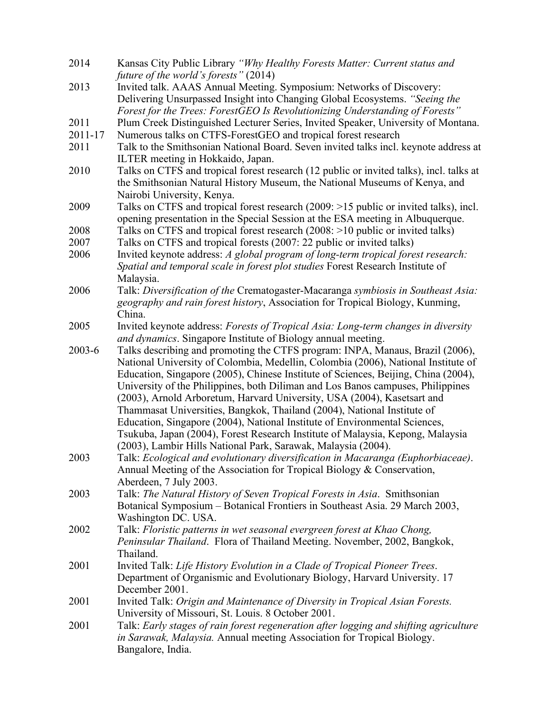| 2014    | Kansas City Public Library "Why Healthy Forests Matter: Current status and              |
|---------|-----------------------------------------------------------------------------------------|
|         | future of the world's forests" (2014)                                                   |
| 2013    | Invited talk. AAAS Annual Meeting. Symposium: Networks of Discovery:                    |
|         | Delivering Unsurpassed Insight into Changing Global Ecosystems. "Seeing the             |
|         | Forest for the Trees: ForestGEO Is Revolutionizing Understanding of Forests"            |
| 2011    | Plum Creek Distinguished Lecturer Series, Invited Speaker, University of Montana.       |
| 2011-17 | Numerous talks on CTFS-ForestGEO and tropical forest research                           |
| 2011    | Talk to the Smithsonian National Board. Seven invited talks incl. keynote address at    |
|         | ILTER meeting in Hokkaido, Japan.                                                       |
| 2010    | Talks on CTFS and tropical forest research (12 public or invited talks), incl. talks at |
|         | the Smithsonian Natural History Museum, the National Museums of Kenya, and              |
|         | Nairobi University, Kenya.                                                              |
| 2009    | Talks on CTFS and tropical forest research (2009: >15 public or invited talks), incl.   |
|         | opening presentation in the Special Session at the ESA meeting in Albuquerque.          |
| 2008    | Talks on CTFS and tropical forest research (2008: >10 public or invited talks)          |
| 2007    | Talks on CTFS and tropical forests (2007: 22 public or invited talks)                   |
| 2006    | Invited keynote address: A global program of long-term tropical forest research:        |
|         | Spatial and temporal scale in forest plot studies Forest Research Institute of          |
|         | Malaysia.                                                                               |
| 2006    | Talk: Diversification of the Crematogaster-Macaranga symbiosis in Southeast Asia:       |
|         | geography and rain forest history, Association for Tropical Biology, Kunming,           |
|         | China.                                                                                  |
| 2005    | Invited keynote address: Forests of Tropical Asia: Long-term changes in diversity       |
|         | and dynamics. Singapore Institute of Biology annual meeting.                            |
| 2003-6  | Talks describing and promoting the CTFS program: INPA, Manaus, Brazil (2006),           |
|         | National University of Colombia, Medellin, Colombia (2006), National Institute of       |
|         | Education, Singapore (2005), Chinese Institute of Sciences, Beijing, China (2004),      |
|         | University of the Philippines, both Diliman and Los Banos campuses, Philippines         |
|         | (2003), Arnold Arboretum, Harvard University, USA (2004), Kasetsart and                 |
|         | Thammasat Universities, Bangkok, Thailand (2004), National Institute of                 |
|         | Education, Singapore (2004), National Institute of Environmental Sciences,              |
|         | Tsukuba, Japan (2004), Forest Research Institute of Malaysia, Kepong, Malaysia          |
|         | (2003), Lambir Hills National Park, Sarawak, Malaysia (2004).                           |
| 2003    | Talk: Ecological and evolutionary diversification in Macaranga (Euphorbiaceae).         |
|         | Annual Meeting of the Association for Tropical Biology & Conservation,                  |
|         | Aberdeen, 7 July 2003.                                                                  |
| 2003    | Talk: The Natural History of Seven Tropical Forests in Asia. Smithsonian                |
|         | Botanical Symposium - Botanical Frontiers in Southeast Asia. 29 March 2003,             |
|         | Washington DC. USA.                                                                     |
| 2002    | Talk: Floristic patterns in wet seasonal evergreen forest at Khao Chong,                |
|         | Peninsular Thailand. Flora of Thailand Meeting. November, 2002, Bangkok,                |
|         | Thailand.                                                                               |
| 2001    | Invited Talk: Life History Evolution in a Clade of Tropical Pioneer Trees.              |
|         | Department of Organismic and Evolutionary Biology, Harvard University. 17               |
|         | December 2001.                                                                          |
| 2001    | Invited Talk: Origin and Maintenance of Diversity in Tropical Asian Forests.            |
|         | University of Missouri, St. Louis. 8 October 2001.                                      |
| 2001    | Talk: Early stages of rain forest regeneration after logging and shifting agriculture   |
|         | in Sarawak, Malaysia. Annual meeting Association for Tropical Biology.                  |
|         | Bangalore, India.                                                                       |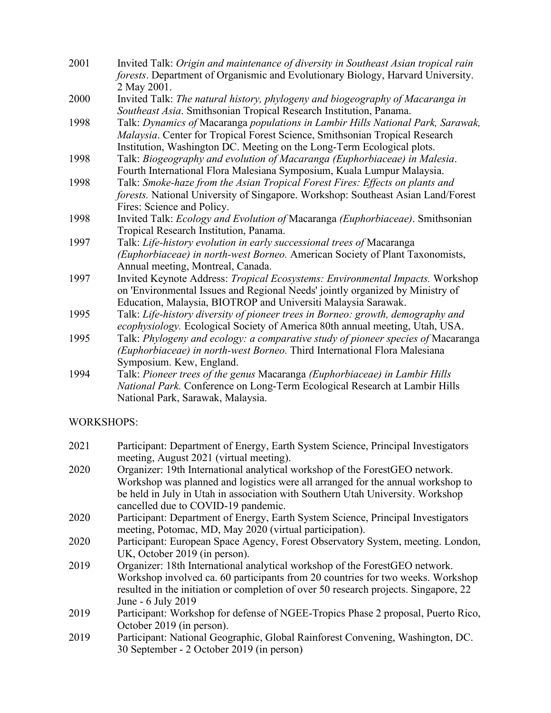| 2001 | Invited Talk: Origin and maintenance of diversity in Southeast Asian tropical rain                                                                  |
|------|-----------------------------------------------------------------------------------------------------------------------------------------------------|
|      | forests. Department of Organismic and Evolutionary Biology, Harvard University.<br>2 May 2001.                                                      |
| 2000 | Invited Talk: The natural history, phylogeny and biogeography of Macaranga in<br>Southeast Asia. Smithsonian Tropical Research Institution, Panama. |
| 1998 | Talk: Dynamics of Macaranga populations in Lambir Hills National Park, Sarawak,                                                                     |
|      | Malaysia. Center for Tropical Forest Science, Smithsonian Tropical Research                                                                         |
|      | Institution, Washington DC. Meeting on the Long-Term Ecological plots.                                                                              |
| 1998 | Talk: Biogeography and evolution of Macaranga (Euphorbiaceae) in Malesia.                                                                           |
|      | Fourth International Flora Malesiana Symposium, Kuala Lumpur Malaysia.                                                                              |
| 1998 | Talk: Smoke-haze from the Asian Tropical Forest Fires: Effects on plants and                                                                        |
|      | forests. National University of Singapore. Workshop: Southeast Asian Land/Forest                                                                    |
|      | Fires: Science and Policy.                                                                                                                          |
| 1998 | Invited Talk: Ecology and Evolution of Macaranga (Euphorbiaceae). Smithsonian                                                                       |
|      | Tropical Research Institution, Panama.                                                                                                              |
| 1997 | Talk: Life-history evolution in early successional trees of Macaranga                                                                               |
|      | (Euphorbiaceae) in north-west Borneo. American Society of Plant Taxonomists,                                                                        |
|      | Annual meeting, Montreal, Canada.                                                                                                                   |
| 1997 | Invited Keynote Address: Tropical Ecosystems: Environmental Impacts. Workshop                                                                       |
|      | on 'Environmental Issues and Regional Needs' jointly organized by Ministry of                                                                       |
|      | Education, Malaysia, BIOTROP and Universiti Malaysia Sarawak.                                                                                       |
| 1995 | Talk: Life-history diversity of pioneer trees in Borneo: growth, demography and                                                                     |
|      | ecophysiology. Ecological Society of America 80th annual meeting, Utah, USA.                                                                        |
| 1995 | Talk: Phylogeny and ecology: a comparative study of pioneer species of Macaranga                                                                    |
|      | (Euphorbiaceae) in north-west Borneo. Third International Flora Malesiana                                                                           |
|      | Symposium. Kew, England.                                                                                                                            |
| 1994 | Talk: Pioneer trees of the genus Macaranga (Euphorbiaceae) in Lambir Hills                                                                          |
|      | National Park. Conference on Long-Term Ecological Research at Lambir Hills                                                                          |

WORKSHOPS:

National Park, Sarawak, Malaysia.

| 2021 | Participant: Department of Energy, Earth System Science, Principal Investigators     |
|------|--------------------------------------------------------------------------------------|
|      | meeting, August 2021 (virtual meeting).                                              |
| 2020 | Organizer: 19th International analytical workshop of the ForestGEO network.          |
|      | Workshop was planned and logistics were all arranged for the annual workshop to      |
|      | be held in July in Utah in association with Southern Utah University. Workshop       |
|      | cancelled due to COVID-19 pandemic.                                                  |
| 2020 | Participant: Department of Energy, Earth System Science, Principal Investigators     |
|      | meeting, Potomac, MD, May 2020 (virtual participation).                              |
| 2020 | Participant: European Space Agency, Forest Observatory System, meeting. London,      |
|      | UK, October 2019 (in person).                                                        |
| 2019 | Organizer: 18th International analytical workshop of the ForestGEO network.          |
|      | Workshop involved ca. 60 participants from 20 countries for two weeks. Workshop      |
|      | resulted in the initiation or completion of over 50 research projects. Singapore, 22 |
|      | June - 6 July 2019                                                                   |
| 2019 | Participant: Workshop for defense of NGEE-Tropics Phase 2 proposal, Puerto Rico,     |
|      | October 2019 (in person).                                                            |
| 2019 | Participant: National Geographic, Global Rainforest Convening, Washington, DC.       |
|      | 30 September - 2 October 2019 (in person)                                            |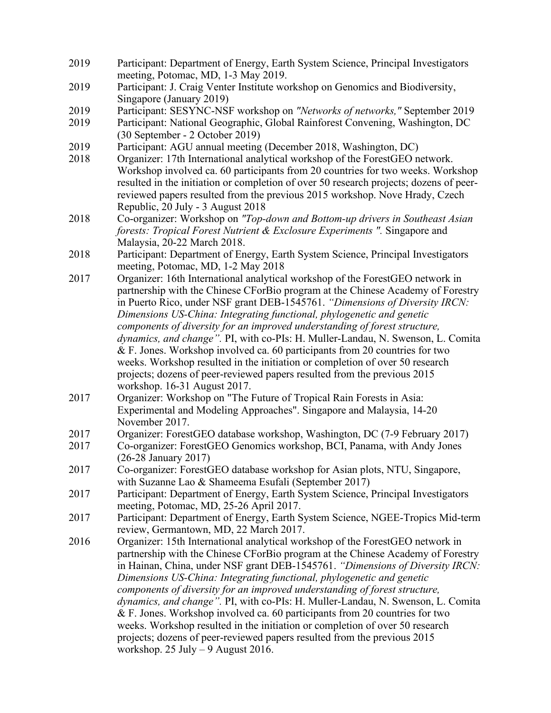- 2019 Participant: Department of Energy, Earth System Science, Principal Investigators meeting, Potomac, MD, 1-3 May 2019.
- 2019 Participant: J. Craig Venter Institute workshop on Genomics and Biodiversity, Singapore (January 2019)
- 2019 Participant: SESYNC-NSF workshop on *"Networks of networks,"* September 2019
- 2019 Participant: National Geographic, Global Rainforest Convening, Washington, DC (30 September - 2 October 2019)
- 2019 Participant: AGU annual meeting (December 2018, Washington, DC)<br>2018 Organizer: 17th International analytical workshop of the ForestGEO n
- Organizer: 17th International analytical workshop of the ForestGEO network. Workshop involved ca. 60 participants from 20 countries for two weeks. Workshop resulted in the initiation or completion of over 50 research projects; dozens of peerreviewed papers resulted from the previous 2015 workshop. Nove Hrady, Czech Republic, 20 July - 3 August 2018
- 2018 Co-organizer: Workshop on *"Top-down and Bottom-up drivers in Southeast Asian forests: Tropical Forest Nutrient & Exclosure Experiments ".* Singapore and Malaysia, 20-22 March 2018.
- 2018 Participant: Department of Energy, Earth System Science, Principal Investigators meeting, Potomac, MD, 1-2 May 2018
- 2017 Organizer: 16th International analytical workshop of the ForestGEO network in partnership with the Chinese CForBio program at the Chinese Academy of Forestry in Puerto Rico, under NSF grant DEB-1545761. *"Dimensions of Diversity IRCN: Dimensions US-China: Integrating functional, phylogenetic and genetic components of diversity for an improved understanding of forest structure, dynamics, and change".* PI, with co-PIs: H. Muller-Landau, N. Swenson, L. Comita & F. Jones. Workshop involved ca. 60 participants from 20 countries for two weeks. Workshop resulted in the initiation or completion of over 50 research projects; dozens of peer-reviewed papers resulted from the previous 2015 workshop. 16-31 August 2017.
- 2017 Organizer: Workshop on "The Future of Tropical Rain Forests in Asia: Experimental and Modeling Approaches". Singapore and Malaysia, 14-20 November 2017.
- 2017 Organizer: ForestGEO database workshop, Washington, DC (7-9 February 2017)
- 2017 Co-organizer: ForestGEO Genomics workshop, BCI, Panama, with Andy Jones (26-28 January 2017)
- 2017 Co-organizer: ForestGEO database workshop for Asian plots, NTU, Singapore, with Suzanne Lao & Shameema Esufali (September 2017)
- 2017 Participant: Department of Energy, Earth System Science, Principal Investigators meeting, Potomac, MD, 25-26 April 2017.
- 2017 Participant: Department of Energy, Earth System Science, NGEE-Tropics Mid-term review, Germantown, MD, 22 March 2017.
- 2016 Organizer: 15th International analytical workshop of the ForestGEO network in partnership with the Chinese CForBio program at the Chinese Academy of Forestry in Hainan, China, under NSF grant DEB-1545761. *"Dimensions of Diversity IRCN: Dimensions US-China: Integrating functional, phylogenetic and genetic components of diversity for an improved understanding of forest structure, dynamics, and change".* PI, with co-PIs: H. Muller-Landau, N. Swenson, L. Comita & F. Jones. Workshop involved ca. 60 participants from 20 countries for two weeks. Workshop resulted in the initiation or completion of over 50 research projects; dozens of peer-reviewed papers resulted from the previous 2015 workshop. 25 July – 9 August 2016.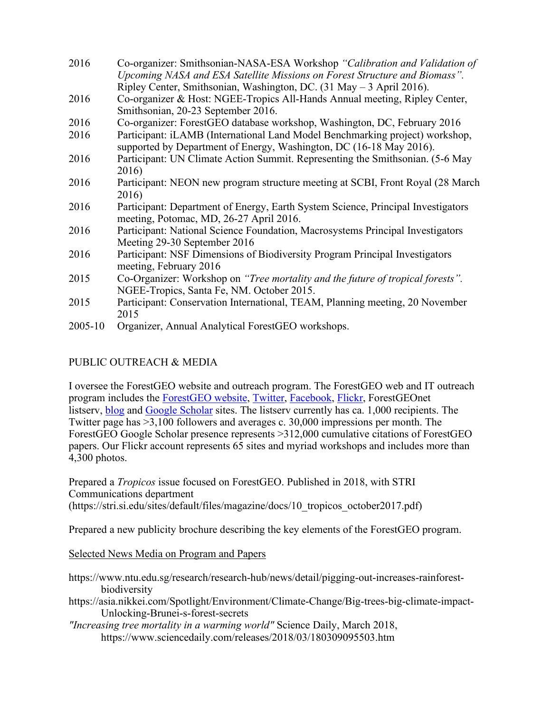| 2016 | Co-organizer: Smithsonian-NASA-ESA Workshop "Calibration and Validation of                                                                          |
|------|-----------------------------------------------------------------------------------------------------------------------------------------------------|
|      | Upcoming NASA and ESA Satellite Missions on Forest Structure and Biomass".                                                                          |
|      | Ripley Center, Smithsonian, Washington, DC. $(31$ May $- 3$ April 2016).                                                                            |
| 2016 | Co-organizer & Host: NGEE-Tropics All-Hands Annual meeting, Ripley Center,<br>Smithsonian, 20-23 September 2016.                                    |
| 2016 | Co-organizer: ForestGEO database workshop, Washington, DC, February 2016                                                                            |
| 2016 | Participant: iLAMB (International Land Model Benchmarking project) workshop,<br>supported by Department of Energy, Washington, DC (16-18 May 2016). |
| 2016 | Participant: UN Climate Action Summit. Representing the Smithsonian. (5-6 May<br>2016)                                                              |
| 2016 | Participant: NEON new program structure meeting at SCBI, Front Royal (28 March)<br>2016)                                                            |
| 2016 | Participant: Department of Energy, Earth System Science, Principal Investigators<br>meeting, Potomac, MD, 26-27 April 2016.                         |
| 2016 | Participant: National Science Foundation, Macrosystems Principal Investigators<br>Meeting 29-30 September 2016                                      |
| 2016 | Participant: NSF Dimensions of Biodiversity Program Principal Investigators<br>meeting, February 2016                                               |
| 2015 | Co-Organizer: Workshop on "Tree mortality and the future of tropical forests".<br>NGEE-Tropics, Santa Fe, NM. October 2015.                         |
| 2015 | Participant: Conservation International, TEAM, Planning meeting, 20 November<br>2015                                                                |

2005-10 Organizer, Annual Analytical ForestGEO workshops.

# PUBLIC OUTREACH & MEDIA

I oversee the ForestGEO website and outreach program. The ForestGEO web and IT outreach program includes the ForestGEO website, Twitter, Facebook, Flickr, ForestGEOnet listserv, blog and Google Scholar sites. The listserv currently has ca. 1,000 recipients. The Twitter page has >3,100 followers and averages c. 30,000 impressions per month. The ForestGEO Google Scholar presence represents >312,000 cumulative citations of ForestGEO papers. Our Flickr account represents 65 sites and myriad workshops and includes more than 4,300 photos.

Prepared a *Tropicos* issue focused on ForestGEO. Published in 2018, with STRI Communications department (https://stri.si.edu/sites/default/files/magazine/docs/10\_tropicos\_october2017.pdf)

Prepared a new publicity brochure describing the key elements of the ForestGEO program.

# Selected News Media on Program and Papers

- https://www.ntu.edu.sg/research/research-hub/news/detail/pigging-out-increases-rainforestbiodiversity
- https://asia.nikkei.com/Spotlight/Environment/Climate-Change/Big-trees-big-climate-impact-Unlocking-Brunei-s-forest-secrets
- *"Increasing tree mortality in a warming world"* Science Daily, March 2018, https://www.sciencedaily.com/releases/2018/03/180309095503.htm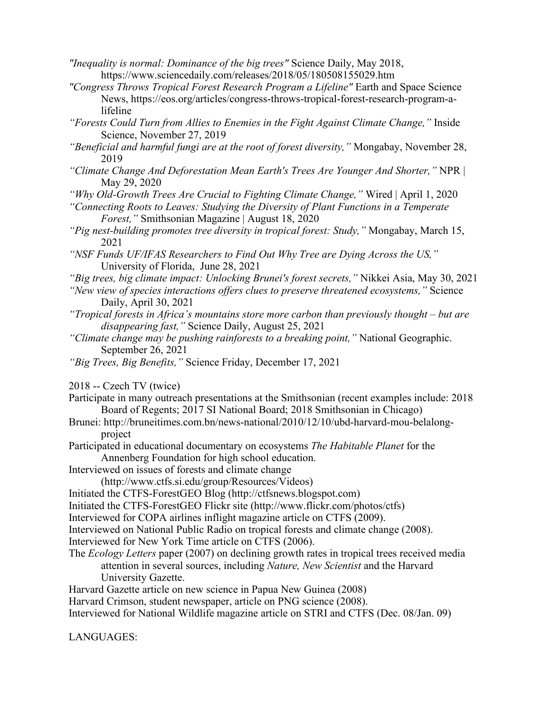*"Inequality is normal: Dominance of the big trees"* Science Daily, May 2018, https://www.sciencedaily.com/releases/2018/05/180508155029.htm

- *"Congress Throws Tropical Forest Research Program a Lifeline"* Earth and Space Science News, https://eos.org/articles/congress-throws-tropical-forest-research-program-alifeline
- *"Forests Could Turn from Allies to Enemies in the Fight Against Climate Change,"* Inside Science, November 27, 2019
- *"Beneficial and harmful fungi are at the root of forest diversity,"* Mongabay, November 28, 2019
- *"Climate Change And Deforestation Mean Earth's Trees Are Younger And Shorter,"* NPR | May 29, 2020
- *"Why Old-Growth Trees Are Crucial to Fighting Climate Change,"* Wired | April 1, 2020
- *"Connecting Roots to Leaves: Studying the Diversity of Plant Functions in a Temperate Forest,"* Smithsonian Magazine | August 18, 2020
- *"Pig nest-building promotes tree diversity in tropical forest: Study,"* Mongabay, March 15, 2021
- *"NSF Funds UF/IFAS Researchers to Find Out Why Tree are Dying Across the US,"*  University of Florida, June 28, 2021
- *"Big trees, big climate impact: Unlocking Brunei's forest secrets,"* Nikkei Asia, May 30, 2021
- *"New view of species interactions offers clues to preserve threatened ecosystems,"* Science Daily, April 30, 2021
- *"Tropical forests in Africa's mountains store more carbon than previously thought – but are disappearing fast,"* Science Daily, August 25, 2021
- *"Climate change may be pushing rainforests to a breaking point,"* National Geographic. September 26, 2021
- *"Big Trees, Big Benefits,"* Science Friday, December 17, 2021
- 2018 -- Czech TV (twice)
- Participate in many outreach presentations at the Smithsonian (recent examples include: 2018 Board of Regents; 2017 SI National Board; 2018 Smithsonian in Chicago)
- Brunei: http://bruneitimes.com.bn/news-national/2010/12/10/ubd-harvard-mou-belalongproject
- Participated in educational documentary on ecosystems *The Habitable Planet* for the Annenberg Foundation for high school education.
- Interviewed on issues of forests and climate change
	- (http://www.ctfs.si.edu/group/Resources/Videos)
- Initiated the CTFS-ForestGEO Blog (http://ctfsnews.blogspot.com)
- Initiated the CTFS-ForestGEO Flickr site (http://www.flickr.com/photos/ctfs)
- Interviewed for COPA airlines inflight magazine article on CTFS (2009).

Interviewed on National Public Radio on tropical forests and climate change (2008).

- Interviewed for New York Time article on CTFS (2006).
- The *Ecology Letters* paper (2007) on declining growth rates in tropical trees received media attention in several sources, including *Nature, New Scientist* and the Harvard University Gazette.

Harvard Gazette article on new science in Papua New Guinea (2008)

Harvard Crimson, student newspaper, article on PNG science (2008).

Interviewed for National Wildlife magazine article on STRI and CTFS (Dec. 08/Jan. 09)

LANGUAGES: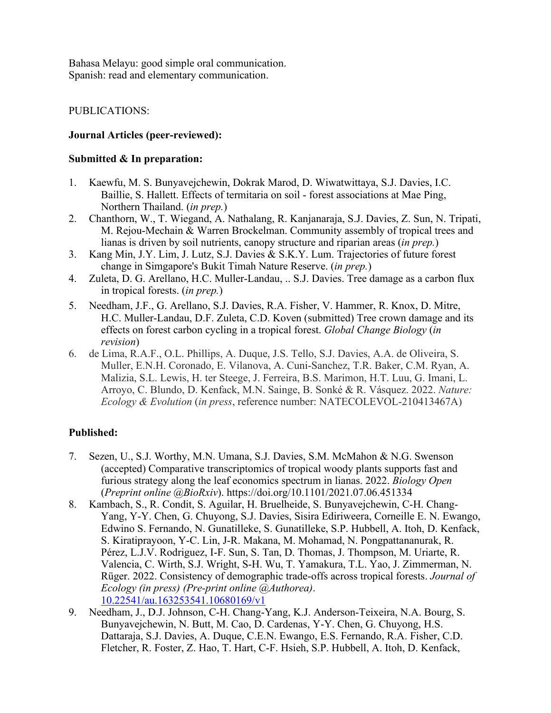Bahasa Melayu: good simple oral communication. Spanish: read and elementary communication.

# PUBLICATIONS:

# **Journal Articles (peer-reviewed):**

# **Submitted & In preparation:**

- 1. Kaewfu, M. S. Bunyavejchewin, Dokrak Marod, D. Wiwatwittaya, S.J. Davies, I.C. Baillie, S. Hallett. Effects of termitaria on soil - forest associations at Mae Ping, Northern Thailand. (*in prep.*)
- 2. Chanthorn, W., T. Wiegand, A. Nathalang, R. Kanjanaraja, S.J. Davies, Z. Sun, N. Tripati, M. Rejou-Mechain & Warren Brockelman. Community assembly of tropical trees and lianas is driven by soil nutrients, canopy structure and riparian areas (*in prep.*)
- 3. Kang Min, J.Y. Lim, J. Lutz, S.J. Davies & S.K.Y. Lum. Trajectories of future forest change in Simgapore's Bukit Timah Nature Reserve. (*in prep.*)
- 4. Zuleta, D. G. Arellano, H.C. Muller-Landau, .. S.J. Davies. Tree damage as a carbon flux in tropical forests. (*in prep.*)
- 5. Needham, J.F., G. Arellano, S.J. Davies, R.A. Fisher, V. Hammer, R. Knox, D. Mitre, H.C. Muller-Landau, D.F. Zuleta, C.D. Koven (submitted) Tree crown damage and its effects on forest carbon cycling in a tropical forest. *Global Change Biology* (*in revision*)
- 6. de Lima, R.A.F., O.L. Phillips, A. Duque, J.S. Tello, S.J. Davies, A.A. de Oliveira, S. Muller, E.N.H. Coronado, E. Vilanova, A. Cuni-Sanchez, T.R. Baker, C.M. Ryan, A. Malizia, S.L. Lewis, H. ter Steege, J. Ferreira, B.S. Marimon, H.T. Luu, G. Imani, L. Arroyo, C. Blundo, D. Kenfack, M.N. Sainge, B. Sonké & R. Vásquez. 2022. *Nature: Ecology & Evolution* (*in press*, reference number: NATECOLEVOL-210413467A)

# **Published:**

- 7. Sezen, U., S.J. Worthy, M.N. Umana, S.J. Davies, S.M. McMahon & N.G. Swenson (accepted) Comparative transcriptomics of tropical woody plants supports fast and furious strategy along the leaf economics spectrum in lianas. 2022. *Biology Open* (*Preprint online @BioRxiv*). https://doi.org/10.1101/2021.07.06.451334
- 8. Kambach, S., R. Condit, S. Aguilar, H. Bruelheide, S. Bunyavejchewin, C-H. Chang-Yang, Y-Y. Chen, G. Chuyong, S.J. Davies, Sisira Ediriweera, Corneille E. N. Ewango, Edwino S. Fernando, N. Gunatilleke, S. Gunatilleke, S.P. Hubbell, A. Itoh, D. Kenfack, S. Kiratiprayoon, Y-C. Lin, J-R. Makana, M. Mohamad, N. Pongpattananurak, R. Pérez, L.J.V. Rodriguez, I-F. Sun, S. Tan, D. Thomas, J. Thompson, M. Uriarte, R. Valencia, C. Wirth, S.J. Wright, S-H. Wu, T. Yamakura, T.L. Yao, J. Zimmerman, N. Rüger. 2022. Consistency of demographic trade-offs across tropical forests. *Journal of Ecology (in press) (Pre-print online @Authorea)*. 10.22541/au.163253541.10680169/v1
- 9. Needham, J., D.J. Johnson, C-H. Chang-Yang, K.J. Anderson-Teixeira, N.A. Bourg, S. Bunyavejchewin, N. Butt, M. Cao, D. Cardenas, Y-Y. Chen, G. Chuyong, H.S. Dattaraja, S.J. Davies, A. Duque, C.E.N. Ewango, E.S. Fernando, R.A. Fisher, C.D. Fletcher, R. Foster, Z. Hao, T. Hart, C-F. Hsieh, S.P. Hubbell, A. Itoh, D. Kenfack,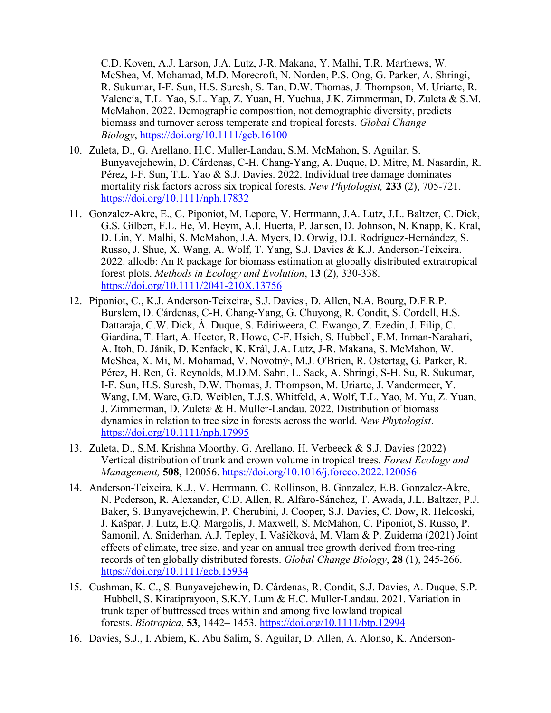C.D. Koven, A.J. Larson, J.A. Lutz, J-R. Makana, Y. Malhi, T.R. Marthews, W. McShea, M. Mohamad, M.D. Morecroft, N. Norden, P.S. Ong, G. Parker, A. Shringi, R. Sukumar, I-F. Sun, H.S. Suresh, S. Tan, D.W. Thomas, J. Thompson, M. Uriarte, R. Valencia, T.L. Yao, S.L. Yap, Z. Yuan, H. Yuehua, J.K. Zimmerman, D. Zuleta & S.M. McMahon. 2022. Demographic composition, not demographic diversity, predicts biomass and turnover across temperate and tropical forests. *Global Change Biology*, https://doi.org/10.1111/gcb.16100

- 10. Zuleta, D., G. Arellano, H.C. Muller-Landau, S.M. McMahon, S. Aguilar, S. Bunyavejchewin, D. Cárdenas, C-H. Chang-Yang, A. Duque, D. Mitre, M. Nasardin, R. Pérez, I-F. Sun, T.L. Yao & S.J. Davies. 2022. Individual tree damage dominates mortality risk factors across six tropical forests. *New Phytologist,* **233** (2), 705-721. https://doi.org/10.1111/nph.17832
- 11. Gonzalez-Akre, E., C. Piponiot, M. Lepore, V. Herrmann, J.A. Lutz, J.L. Baltzer, C. Dick, G.S. Gilbert, F.L. He, M. Heym, A.I. Huerta, P. Jansen, D. Johnson, N. Knapp, K. Kral, D. Lin, Y. Malhi, S. McMahon, J.A. Myers, D. Orwig, D.I. Rodríguez-Hernández, S. Russo, J. Shue, X. Wang, A. Wolf, T. Yang, S.J. Davies & K.J. Anderson-Teixeira. 2022. allodb: An R package for biomass estimation at globally distributed extratropical forest plots. *Methods in Ecology and Evolution*, **13** (2), 330-338. https://doi.org/10.1111/2041-210X.13756
- 12. Piponiot, C., K.J. Anderson-Teixeira, S.J. Davies, D. Allen, N.A. Bourg, D.F.R.P. Burslem, D. Cárdenas, C-H. Chang-Yang, G. Chuyong, R. Condit, S. Cordell, H.S. Dattaraja, C.W. Dick, Á. Duque, S. Ediriweera, C. Ewango, Z. Ezedin, J. Filip, C. Giardina, T. Hart, A. Hector, R. Howe, C-F. Hsieh, S. Hubbell, F.M. Inman-Narahari, A. Itoh, D. Jánik, D. Kenfack<sup>,</sup>, K. Král, J.A. Lutz, J-R. Makana, S. McMahon, W. McShea, X. Mi, M. Mohamad, V. Novotný, , M.J. O'Brien, R. Ostertag, G. Parker, R. Pérez, H. Ren, G. Reynolds, M.D.M. Sabri, L. Sack, A. Shringi, S-H. Su, R. Sukumar, I-F. Sun, H.S. Suresh, D.W. Thomas, J. Thompson, M. Uriarte, J. Vandermeer, Y. Wang, I.M. Ware, G.D. Weiblen, T.J.S. Whitfeld, A. Wolf, T.L. Yao, M. Yu, Z. Yuan, J. Zimmerman, D. Zuleta, & H. Muller-Landau. 2022. Distribution of biomass dynamics in relation to tree size in forests across the world. *New Phytologist*. https://doi.org/10.1111/nph.17995
- 13. Zuleta, D., S.M. Krishna Moorthy, G. Arellano, H. Verbeeck & S.J. Davies (2022) Vertical distribution of trunk and crown volume in tropical trees. *Forest Ecology and Management,* **508**, 120056. https://doi.org/10.1016/j.foreco.2022.120056
- 14. Anderson-Teixeira, K.J., V. Herrmann, C. Rollinson, B. Gonzalez, E.B. Gonzalez-Akre, N. Pederson, R. Alexander, C.D. Allen, R. Alfaro-Sánchez, T. Awada, J.L. Baltzer, P.J. Baker, S. Bunyavejchewin, P. Cherubini, J. Cooper, S.J. Davies, C. Dow, R. Helcoski, J. Kašpar, J. Lutz, E.Q. Margolis, J. Maxwell, S. McMahon, C. Piponiot, S. Russo, P. Šamonil, A. Sniderhan, A.J. Tepley, I. Vašíčková, M. Vlam & P. Zuidema (2021) Joint effects of climate, tree size, and year on annual tree growth derived from tree-ring records of ten globally distributed forests. *Global Change Biology*, **28** (1), 245-266. https://doi.org/10.1111/gcb.15934
- 15. Cushman, K. C., S. Bunyavejchewin, D. Cárdenas, R. Condit, S.J. Davies, A. Duque, S.P. Hubbell, S. Kiratiprayoon, S.K.Y. Lum & H.C. Muller-Landau. 2021. Variation in trunk taper of buttressed trees within and among five lowland tropical forests. *Biotropica*, **53**, 1442– 1453. https://doi.org/10.1111/btp.12994
- 16. Davies, S.J., I. Abiem, K. Abu Salim, S. Aguilar, D. Allen, A. Alonso, K. Anderson-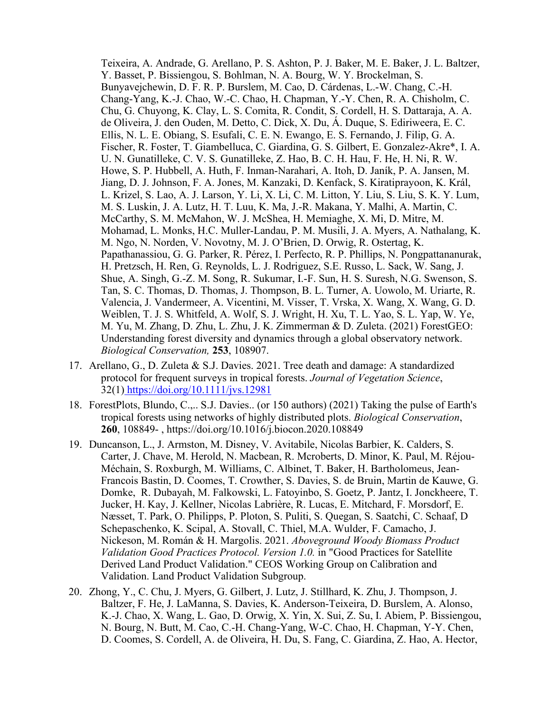Teixeira, A. Andrade, G. Arellano, P. S. Ashton, P. J. Baker, M. E. Baker, J. L. Baltzer, Y. Basset, P. Bissiengou, S. Bohlman, N. A. Bourg, W. Y. Brockelman, S. Bunyavejchewin, D. F. R. P. Burslem, M. Cao, D. Cárdenas, L.-W. Chang, C.-H. Chang-Yang, K.-J. Chao, W.-C. Chao, H. Chapman, Y.-Y. Chen, R. A. Chisholm, C. Chu, G. Chuyong, K. Clay, L. S. Comita, R. Condit, S. Cordell, H. S. Dattaraja, A. A. de Oliveira, J. den Ouden, M. Detto, C. Dick, X. Du, Á. Duque, S. Ediriweera, E. C. Ellis, N. L. E. Obiang, S. Esufali, C. E. N. Ewango, E. S. Fernando, J. Filip, G. A. Fischer, R. Foster, T. Giambelluca, C. Giardina, G. S. Gilbert, E. Gonzalez-Akre\*, I. A. U. N. Gunatilleke, C. V. S. Gunatilleke, Z. Hao, B. C. H. Hau, F. He, H. Ni, R. W. Howe, S. P. Hubbell, A. Huth, F. Inman-Narahari, A. Itoh, D. Janík, P. A. Jansen, M. Jiang, D. J. Johnson, F. A. Jones, M. Kanzaki, D. Kenfack, S. Kiratiprayoon, K. Král, L. Krizel, S. Lao, A. J. Larson, Y. Li, X. Li, C. M. Litton, Y. Liu, S. Liu, S. K. Y. Lum, M. S. Luskin, J. A. Lutz, H. T. Luu, K. Ma, J.-R. Makana, Y. Malhi, A. Martin, C. McCarthy, S. M. McMahon, W. J. McShea, H. Memiaghe, X. Mi, D. Mitre, M. Mohamad, L. Monks, H.C. Muller-Landau, P. M. Musili, J. A. Myers, A. Nathalang, K. M. Ngo, N. Norden, V. Novotny, M. J. O'Brien, D. Orwig, R. Ostertag, K. Papathanassiou, G. G. Parker, R. Pérez, I. Perfecto, R. P. Phillips, N. Pongpattananurak, H. Pretzsch, H. Ren, G. Reynolds, L. J. Rodriguez, S.E. Russo, L. Sack, W. Sang, J. Shue, A. Singh, G.-Z. M. Song, R. Sukumar, I.-F. Sun, H. S. Suresh, N.G. Swenson, S. Tan, S. C. Thomas, D. Thomas, J. Thompson, B. L. Turner, A. Uowolo, M. Uriarte, R. Valencia, J. Vandermeer, A. Vicentini, M. Visser, T. Vrska, X. Wang, X. Wang, G. D. Weiblen, T. J. S. Whitfeld, A. Wolf, S. J. Wright, H. Xu, T. L. Yao, S. L. Yap, W. Ye, M. Yu, M. Zhang, D. Zhu, L. Zhu, J. K. Zimmerman & D. Zuleta. (2021) ForestGEO: Understanding forest diversity and dynamics through a global observatory network. *Biological Conservation,* **253**, 108907.

- 17. Arellano, G., D. Zuleta & S.J. Davies. 2021. Tree death and damage: A standardized protocol for frequent surveys in tropical forests. *Journal of Vegetation Science*, 32(1) https://doi.org/10.1111/jvs.12981
- 18. ForestPlots, Blundo, C.,.. S.J. Davies.. (or 150 authors) (2021) Taking the pulse of Earth's tropical forests using networks of highly distributed plots. *Biological Conservation*, **260**, 108849- , https://doi.org/10.1016/j.biocon.2020.108849
- 19. Duncanson, L., J. Armston, M. Disney, V. Avitabile, Nicolas Barbier, K. Calders, S. Carter, J. Chave, M. Herold, N. Macbean, R. Mcroberts, D. Minor, K. Paul, M. Réjou-Méchain, S. Roxburgh, M. Williams, C. Albinet, T. Baker, H. Bartholomeus, Jean-Francois Bastin, D. Coomes, T. Crowther, S. Davies, S. de Bruin, Martin de Kauwe, G. Domke, R. Dubayah, M. Falkowski, L. Fatoyinbo, S. Goetz, P. Jantz, I. Jonckheere, T. Jucker, H. Kay, J. Kellner, Nicolas Labrière, R. Lucas, E. Mitchard, F. Morsdorf, E. Næsset, T. Park, O. Philipps, P. Ploton, S. Puliti, S. Quegan, S. Saatchi, C. Schaaf, D Schepaschenko, K. Scipal, A. Stovall, C. Thiel, M.A. Wulder, F. Camacho, J. Nickeson, M. Román & H. Margolis. 2021. *Aboveground Woody Biomass Product Validation Good Practices Protocol. Version 1.0.* in "Good Practices for Satellite Derived Land Product Validation." CEOS Working Group on Calibration and Validation. Land Product Validation Subgroup.
- 20. Zhong, Y., C. Chu, J. Myers, G. Gilbert, J. Lutz, J. Stillhard, K. Zhu, J. Thompson, J. Baltzer, F. He, J. LaManna, S. Davies, K. Anderson-Teixeira, D. Burslem, A. Alonso, K.-J. Chao, X. Wang, L. Gao, D. Orwig, X. Yin, X. Sui, Z. Su, I. Abiem, P. Bissiengou, N. Bourg, N. Butt, M. Cao, C.-H. Chang-Yang, W-C. Chao, H. Chapman, Y-Y. Chen, D. Coomes, S. Cordell, A. de Oliveira, H. Du, S. Fang, C. Giardina, Z. Hao, A. Hector,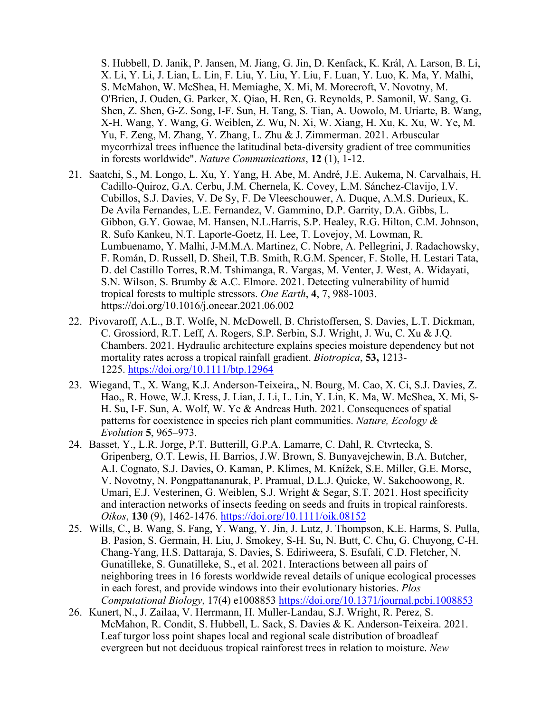S. Hubbell, D. Janik, P. Jansen, M. Jiang, G. Jin, D. Kenfack, K. Král, A. Larson, B. Li, X. Li, Y. Li, J. Lian, L. Lin, F. Liu, Y. Liu, Y. Liu, F. Luan, Y. Luo, K. Ma, Y. Malhi, S. McMahon, W. McShea, H. Memiaghe, X. Mi, M. Morecroft, V. Novotny, M. O'Brien, J. Ouden, G. Parker, X. Qiao, H. Ren, G. Reynolds, P. Samonil, W. Sang, G. Shen, Z. Shen, G-Z. Song, I-F. Sun, H. Tang, S. Tian, A. Uowolo, M. Uriarte, B. Wang, X-H. Wang, Y. Wang, G. Weiblen, Z. Wu, N. Xi, W. Xiang, H. Xu, K. Xu, W. Ye, M. Yu, F. Zeng, M. Zhang, Y. Zhang, L. Zhu & J. Zimmerman. 2021. Arbuscular mycorrhizal trees influence the latitudinal beta-diversity gradient of tree communities in forests worldwide". *Nature Communications*, **12** (1), 1-12.

- 21. Saatchi, S., M. Longo, L. Xu, Y. Yang, H. Abe, M. André, J.E. Aukema, N. Carvalhais, H. Cadillo-Quiroz, G.A. Cerbu, J.M. Chernela, K. Covey, L.M. Sánchez-Clavijo, I.V. Cubillos, S.J. Davies, V. De Sy, F. De Vleeschouwer, A. Duque, A.M.S. Durieux, K. De Avila Fernandes, L.E. Fernandez, V. Gammino, D.P. Garrity, D.A. Gibbs, L. Gibbon, G.Y. Gowae, M. Hansen, N.L.Harris, S.P. Healey, R.G. Hilton, C.M. Johnson, R. Sufo Kankeu, N.T. Laporte-Goetz, H. Lee, T. Lovejoy, M. Lowman, R. Lumbuenamo, Y. Malhi, J-M.M.A. Martinez, C. Nobre, A. Pellegrini, J. Radachowsky, F. Román, D. Russell, D. Sheil, T.B. Smith, R.G.M. Spencer, F. Stolle, H. Lestari Tata, D. del Castillo Torres, R.M. Tshimanga, R. Vargas, M. Venter, J. West, A. Widayati, S.N. Wilson, S. Brumby & A.C. Elmore. 2021. Detecting vulnerability of humid tropical forests to multiple stressors. *One Earth*, **4**, 7, 988-1003. https://doi.org/10.1016/j.oneear.2021.06.002
- 22. Pivovaroff, A.L., B.T. Wolfe, N. McDowell, B. Christoffersen, S. Davies, L.T. Dickman, C. Grossiord, R.T. Leff, A. Rogers, S.P. Serbin, S.J. Wright, J. Wu, C. Xu & J.Q. Chambers. 2021. Hydraulic architecture explains species moisture dependency but not mortality rates across a tropical rainfall gradient. *Biotropica*, **53,** 1213- 1225. https://doi.org/10.1111/btp.12964
- 23. Wiegand, T., X. Wang, K.J. Anderson-Teixeira,, N. Bourg, M. Cao, X. Ci, S.J. Davies, Z. Hao,, R. Howe, W.J. Kress, J. Lian, J. Li, L. Lin, Y. Lin, K. Ma, W. McShea, X. Mi, S-H. Su, I-F. Sun, A. Wolf, W. Ye & Andreas Huth. 2021. Consequences of spatial patterns for coexistence in species rich plant communities. *Nature, Ecology & Evolution* **5**, 965–973.
- 24. Basset, Y., L.R. Jorge, P.T. Butterill, G.P.A. Lamarre, C. Dahl, R. Ctvrtecka, S. Gripenberg, O.T. Lewis, H. Barrios, J.W. Brown, S. Bunyavejchewin, B.A. Butcher, A.I. Cognato, S.J. Davies, O. Kaman, P. Klimes, M. Knížek, S.E. Miller, G.E. Morse, V. Novotny, N. Pongpattananurak, P. Pramual, D.L.J. Quicke, W. Sakchoowong, R. Umari, E.J. Vesterinen, G. Weiblen, S.J. Wright & Segar, S.T. 2021. Host specificity and interaction networks of insects feeding on seeds and fruits in tropical rainforests. *Oikos*, **130** (9), 1462-1476. https://doi.org/10.1111/oik.08152
- 25. Wills, C., B. Wang, S. Fang, Y. Wang, Y. Jin, J. Lutz, J. Thompson, K.E. Harms, S. Pulla, B. Pasion, S. Germain, H. Liu, J. Smokey, S-H. Su, N. Butt, C. Chu, G. Chuyong, C-H. Chang-Yang, H.S. Dattaraja, S. Davies, S. Ediriweera, S. Esufali, C.D. Fletcher, N. Gunatilleke, S. Gunatilleke, S., et al. 2021. Interactions between all pairs of neighboring trees in 16 forests worldwide reveal details of unique ecological processes in each forest, and provide windows into their evolutionary histories. *Plos Computational Biology*, 17(4) e1008853 https://doi.org/10.1371/journal.pcbi.1008853
- 26. Kunert, N., J. Zailaa, V. Herrmann, H. Muller-Landau, S.J. Wright, R. Perez, S. McMahon, R. Condit, S. Hubbell, L. Sack, S. Davies & K. Anderson-Teixeira. 2021. Leaf turgor loss point shapes local and regional scale distribution of broadleaf evergreen but not deciduous tropical rainforest trees in relation to moisture. *New*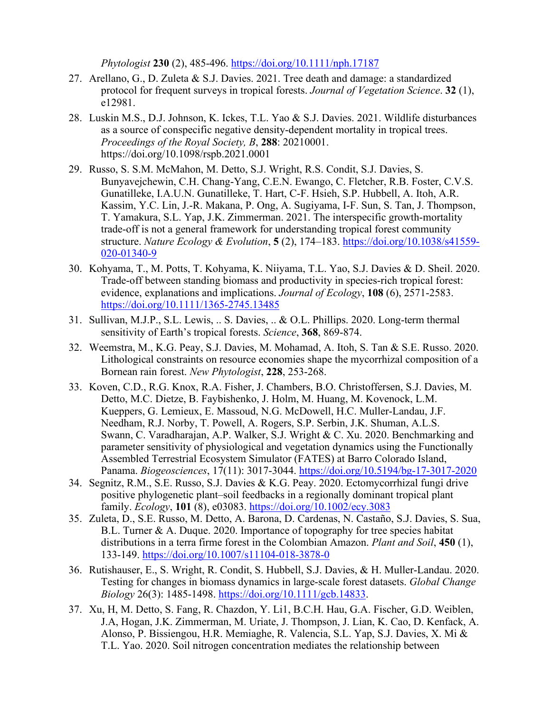*Phytologist* **230** (2), 485-496. https://doi.org/10.1111/nph.17187

- 27. Arellano, G., D. Zuleta & S.J. Davies. 2021. Tree death and damage: a standardized protocol for frequent surveys in tropical forests. *Journal of Vegetation Science*. **32** (1), e12981.
- 28. Luskin M.S., D.J. Johnson, K. Ickes, T.L. Yao & S.J. Davies. 2021. Wildlife disturbances as a source of conspecific negative density-dependent mortality in tropical trees. *Proceedings of the Royal Society, B*, **288**: 20210001. https://doi.org/10.1098/rspb.2021.0001
- 29. Russo, S. S.M. McMahon, M. Detto, S.J. Wright, R.S. Condit, S.J. Davies, S. Bunyavejchewin, C.H. Chang-Yang, C.E.N. Ewango, C. Fletcher, R.B. Foster, C.V.S. Gunatilleke, I.A.U.N. Gunatilleke, T. Hart, C-F. Hsieh, S.P. Hubbell, A. Itoh, A.R. Kassim, Y.C. Lin, J.-R. Makana, P. Ong, A. Sugiyama, I-F. Sun, S. Tan, J. Thompson, T. Yamakura, S.L. Yap, J.K. Zimmerman. 2021. The interspecific growth-mortality trade-off is not a general framework for understanding tropical forest community structure. *Nature Ecology & Evolution*, **5** (2), 174–183. https://doi.org/10.1038/s41559- 020-01340-9
- 30. Kohyama, T., M. Potts, T. Kohyama, K. Niiyama, T.L. Yao, S.J. Davies & D. Sheil. 2020. Trade-off between standing biomass and productivity in species-rich tropical forest: evidence, explanations and implications. *Journal of Ecology*, **108** (6), 2571-2583. https://doi.org/10.1111/1365-2745.13485
- 31. Sullivan, M.J.P., S.L. Lewis, .. S. Davies, .. & O.L. Phillips. 2020. Long-term thermal sensitivity of Earth's tropical forests. *Science*, **368**, 869-874.
- 32. Weemstra, M., K.G. Peay, S.J. Davies, M. Mohamad, A. Itoh, S. Tan & S.E. Russo. 2020. Lithological constraints on resource economies shape the mycorrhizal composition of a Bornean rain forest. *New Phytologist*, **228**, 253-268.
- 33. Koven, C.D., R.G. Knox, R.A. Fisher, J. Chambers, B.O. Christoffersen, S.J. Davies, M. Detto, M.C. Dietze, B. Faybishenko, J. Holm, M. Huang, M. Kovenock, L.M. Kueppers, G. Lemieux, E. Massoud, N.G. McDowell, H.C. Muller-Landau, J.F. Needham, R.J. Norby, T. Powell, A. Rogers, S.P. Serbin, J.K. Shuman, A.L.S. Swann, C. Varadharajan, A.P. Walker, S.J. Wright & C. Xu. 2020. Benchmarking and parameter sensitivity of physiological and vegetation dynamics using the Functionally Assembled Terrestrial Ecosystem Simulator (FATES) at Barro Colorado Island, Panama. *Biogeosciences*, 17(11): 3017-3044. https://doi.org/10.5194/bg-17-3017-2020
- 34. Segnitz, R.M., S.E. Russo, S.J. Davies & K.G. Peay. 2020. Ectomycorrhizal fungi drive positive phylogenetic plant–soil feedbacks in a regionally dominant tropical plant family. *Ecology*, **101** (8), e03083. https://doi.org/10.1002/ecy.3083
- 35. Zuleta, D., S.E. Russo, M. Detto, A. Barona, D. Cardenas, N. Castaño, S.J. Davies, S. Sua, B.L. Turner & A. Duque. 2020. Importance of topography for tree species habitat distributions in a terra firme forest in the Colombian Amazon. *Plant and Soil*, **450** (1), 133-149. https://doi.org/10.1007/s11104-018-3878-0
- 36. Rutishauser, E., S. Wright, R. Condit, S. Hubbell, S.J. Davies, & H. Muller-Landau. 2020. Testing for changes in biomass dynamics in large-scale forest datasets. *Global Change Biology* 26(3): 1485-1498. https://doi.org/10.1111/gcb.14833.
- 37. Xu, H, M. Detto, S. Fang, R. Chazdon, Y. Li1, B.C.H. Hau, G.A. Fischer, G.D. Weiblen, J.A, Hogan, J.K. Zimmerman, M. Uriate, J. Thompson, J. Lian, K. Cao, D. Kenfack, A. Alonso, P. Bissiengou, H.R. Memiaghe, R. Valencia, S.L. Yap, S.J. Davies, X. Mi & T.L. Yao. 2020. Soil nitrogen concentration mediates the relationship between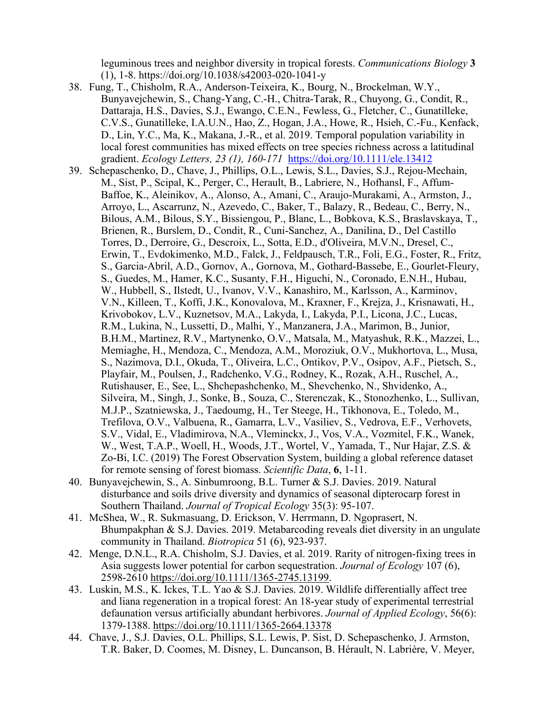leguminous trees and neighbor diversity in tropical forests. *Communications Biology* **3** (1), 1-8. https://doi.org/10.1038/s42003-020-1041-y

- 38. Fung, T., Chisholm, R.A., Anderson‐Teixeira, K., Bourg, N., Brockelman, W.Y., Bunyavejchewin, S., Chang‐Yang, C.-H., Chitra‐Tarak, R., Chuyong, G., Condit, R., Dattaraja, H.S., Davies, S.J., Ewango, C.E.N., Fewless, G., Fletcher, C., Gunatilleke, C.V.S., Gunatilleke, I.A.U.N., Hao, Z., Hogan, J.A., Howe, R., Hsieh, C.-Fu., Kenfack, D., Lin, Y.C., Ma, K., Makana, J.-R., et al. 2019. Temporal population variability in local forest communities has mixed effects on tree species richness across a latitudinal gradient. *Ecology Letters, 23 (1), 160-171* https://doi.org/10.1111/ele.13412
- 39. Schepaschenko, D., Chave, J., Phillips, O.L., Lewis, S.L., Davies, S.J., Rejou-Mechain, M., Sist, P., Scipal, K., Perger, C., Herault, B., Labriere, N., Hofhansl, F., Affum-Baffoe, K., Aleinikov, A., Alonso, A., Amani, C., Araujo-Murakami, A., Armston, J., Arroyo, L., Ascarrunz, N., Azevedo, C., Baker, T., Balazy, R., Bedeau, C., Berry, N., Bilous, A.M., Bilous, S.Y., Bissiengou, P., Blanc, L., Bobkova, K.S., Braslavskaya, T., Brienen, R., Burslem, D., Condit, R., Cuni-Sanchez, A., Danilina, D., Del Castillo Torres, D., Derroire, G., Descroix, L., Sotta, E.D., d'Oliveira, M.V.N., Dresel, C., Erwin, T., Evdokimenko, M.D., Falck, J., Feldpausch, T.R., Foli, E.G., Foster, R., Fritz, S., Garcia-Abril, A.D., Gornov, A., Gornova, M., Gothard-Bassebe, E., Gourlet-Fleury, S., Guedes, M., Hamer, K.C., Susanty, F.H., Higuchi, N., Coronado, E.N.H., Hubau, W., Hubbell, S., Ilstedt, U., Ivanov, V.V., Kanashiro, M., Karlsson, A., Karminov, V.N., Killeen, T., Koffi, J.K., Konovalova, M., Kraxner, F., Krejza, J., Krisnawati, H., Krivobokov, L.V., Kuznetsov, M.A., Lakyda, I., Lakyda, P.I., Licona, J.C., Lucas, R.M., Lukina, N., Lussetti, D., Malhi, Y., Manzanera, J.A., Marimon, B., Junior, B.H.M., Martinez, R.V., Martynenko, O.V., Matsala, M., Matyashuk, R.K., Mazzei, L., Memiaghe, H., Mendoza, C., Mendoza, A.M., Moroziuk, O.V., Mukhortova, L., Musa, S., Nazimova, D.I., Okuda, T., Oliveira, L.C., Ontikov, P.V., Osipov, A.F., Pietsch, S., Playfair, M., Poulsen, J., Radchenko, V.G., Rodney, K., Rozak, A.H., Ruschel, A., Rutishauser, E., See, L., Shchepashchenko, M., Shevchenko, N., Shvidenko, A., Silveira, M., Singh, J., Sonke, B., Souza, C., Sterenczak, K., Stonozhenko, L., Sullivan, M.J.P., Szatniewska, J., Taedoumg, H., Ter Steege, H., Tikhonova, E., Toledo, M., Trefilova, O.V., Valbuena, R., Gamarra, L.V., Vasiliev, S., Vedrova, E.F., Verhovets, S.V., Vidal, E., Vladimirova, N.A., Vleminckx, J., Vos, V.A., Vozmitel, F.K., Wanek, W., West, T.A.P., Woell, H., Woods, J.T., Wortel, V., Yamada, T., Nur Hajar, Z.S. & Zo-Bi, I.C. (2019) The Forest Observation System, building a global reference dataset for remote sensing of forest biomass. *Scientific Data*, **6**, 1-11.
- 40. Bunyavejchewin, S., A. Sinbumroong, B.L. Turner & S.J. Davies. 2019. Natural disturbance and soils drive diversity and dynamics of seasonal dipterocarp forest in Southern Thailand. *Journal of Tropical Ecology* 35(3): 95-107.
- 41. McShea, W., R. Sukmasuang, D. Erickson, V. Herrmann, D. Ngoprasert, N. Bhumpakphan & S.J. Davies. 2019. Metabarcoding reveals diet diversity in an ungulate community in Thailand. *Biotropica* 51 (6), 923-937.
- 42. Menge, D.N.L., R.A. Chisholm, S.J. Davies, et al. 2019. Rarity of nitrogen-fixing trees in Asia suggests lower potential for carbon sequestration. *Journal of Ecology* 107 (6), 2598-2610 https://doi.org/10.1111/1365-2745.13199.
- 43. Luskin, M.S., K. Ickes, T.L. Yao & S.J. Davies. 2019. Wildlife differentially affect tree and liana regeneration in a tropical forest: An 18-year study of experimental terrestrial defaunation versus artificially abundant herbivores. *Journal of Applied Ecology*, 56(6): 1379-1388. https://doi.org/10.1111/1365-2664.13378
- 44. Chave, J., S.J. Davies, O.L. Phillips, S.L. Lewis, P. Sist, D. Schepaschenko, J. Armston, T.R. Baker, D. Coomes, M. Disney, L. Duncanson, B. Hérault, N. Labrière, V. Meyer,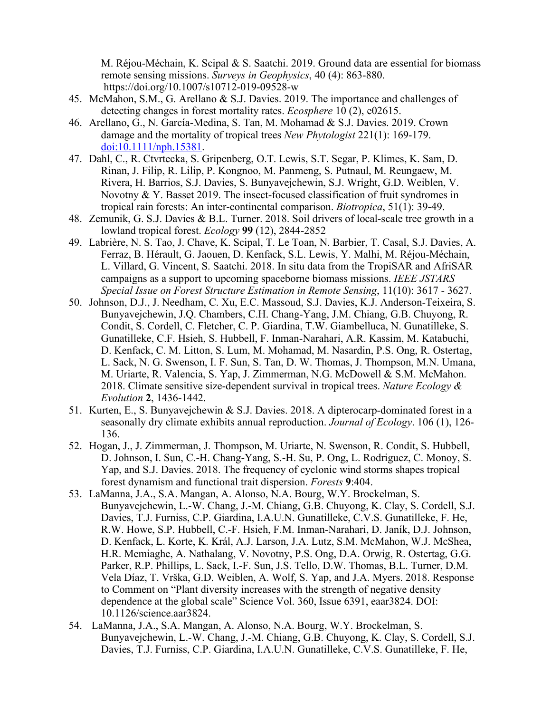M. Réjou-Méchain, K. Scipal & S. Saatchi. 2019. Ground data are essential for biomass remote sensing missions. *Surveys in Geophysics*, 40 (4): 863-880. https://doi.org/10.1007/s10712-019-09528-w

- 45. McMahon, S.M., G. Arellano & S.J. Davies. 2019. The importance and challenges of detecting changes in forest mortality rates. *Ecosphere* 10 (2), e02615.
- 46. Arellano, G., N. García-Medina, S. Tan, M. Mohamad & S.J. Davies. 2019. Crown damage and the mortality of tropical trees *New Phytologist* 221(1): 169-179. doi:10.1111/nph.15381.
- 47. Dahl, C., R. Ctvrtecka, S. Gripenberg, O.T. Lewis, S.T. Segar, P. Klimes, K. Sam, D. Rinan, J. Filip, R. Lilip, P. Kongnoo, M. Panmeng, S. Putnaul, M. Reungaew, M. Rivera, H. Barrios, S.J. Davies, S. Bunyavejchewin, S.J. Wright, G.D. Weiblen, V. Novotny & Y. Basset 2019. The insect-focused classification of fruit syndromes in tropical rain forests: An inter-continental comparison. *Biotropica*, 51(1): 39-49.
- 48. Zemunik, G. S.J. Davies & B.L. Turner. 2018. Soil drivers of local-scale tree growth in a lowland tropical forest. *Ecology* **99** (12), 2844-2852
- 49. Labrière, N. S. Tao, J. Chave, K. Scipal, T. Le Toan, N. Barbier, T. Casal, S.J. Davies, A. Ferraz, B. Hérault, G. Jaouen, D. Kenfack, S.L. Lewis, Y. Malhi, M. Réjou-Méchain, L. Villard, G. Vincent, S. Saatchi. 2018. In situ data from the TropiSAR and AfriSAR campaigns as a support to upcoming spaceborne biomass missions. *IEEE JSTARS Special Issue on Forest Structure Estimation in Remote Sensing*, 11(10): 3617 - 3627.
- 50. Johnson, D.J., J. Needham, C. Xu, E.C. Massoud, S.J. Davies, K.J. Anderson-Teixeira, S. Bunyavejchewin, J.Q. Chambers, C.H. Chang-Yang, J.M. Chiang, G.B. Chuyong, R. Condit, S. Cordell, C. Fletcher, C. P. Giardina, T.W. Giambelluca, N. Gunatilleke, S. Gunatilleke, C.F. Hsieh, S. Hubbell, F. Inman-Narahari, A.R. Kassim, M. Katabuchi, D. Kenfack, C. M. Litton, S. Lum, M. Mohamad, M. Nasardin, P.S. Ong, R. Ostertag, L. Sack, N. G. Swenson, I. F. Sun, S. Tan, D. W. Thomas, J. Thompson, M.N. Umana, M. Uriarte, R. Valencia, S. Yap, J. Zimmerman, N.G. McDowell & S.M. McMahon. 2018. Climate sensitive size-dependent survival in tropical trees. *Nature Ecology & Evolution* **2**, 1436-1442.
- 51. Kurten, E., S. Bunyavejchewin & S.J. Davies. 2018. A dipterocarp-dominated forest in a seasonally dry climate exhibits annual reproduction. *Journal of Ecology*. 106 (1), 126- 136.
- 52. Hogan, J., J. Zimmerman, J. Thompson, M. Uriarte, N. Swenson, R. Condit, S. Hubbell, D. Johnson, I. Sun, C.-H. Chang-Yang, S.-H. Su, P. Ong, L. Rodriguez, C. Monoy, S. Yap, and S.J. Davies. 2018. The frequency of cyclonic wind storms shapes tropical forest dynamism and functional trait dispersion. *Forests* **9**:404.
- 53. LaManna, J.A., S.A. Mangan, A. Alonso, N.A. Bourg, W.Y. Brockelman, S. Bunyavejchewin, L.-W. Chang, J.-M. Chiang, G.B. Chuyong, K. Clay, S. Cordell, S.J. Davies, T.J. Furniss, C.P. Giardina, I.A.U.N. Gunatilleke, C.V.S. Gunatilleke, F. He, R.W. Howe, S.P. Hubbell, C.-F. Hsieh, F.M. Inman-Narahari, D. Janík, D.J. Johnson, D. Kenfack, L. Korte, K. Král, A.J. Larson, J.A. Lutz, S.M. McMahon, W.J. McShea, H.R. Memiaghe, A. Nathalang, V. Novotny, P.S. Ong, D.A. Orwig, R. Ostertag, G.G. Parker, R.P. Phillips, L. Sack, I.-F. Sun, J.S. Tello, D.W. Thomas, B.L. Turner, D.M. Vela Díaz, T. Vrška, G.D. Weiblen, A. Wolf, S. Yap, and J.A. Myers. 2018. Response to Comment on "Plant diversity increases with the strength of negative density dependence at the global scale" Science Vol. 360, Issue 6391, eaar3824. DOI: 10.1126/science.aar3824.
- 54. LaManna, J.A., S.A. Mangan, A. Alonso, N.A. Bourg, W.Y. Brockelman, S. Bunyavejchewin, L.-W. Chang, J.-M. Chiang, G.B. Chuyong, K. Clay, S. Cordell, S.J. Davies, T.J. Furniss, C.P. Giardina, I.A.U.N. Gunatilleke, C.V.S. Gunatilleke, F. He,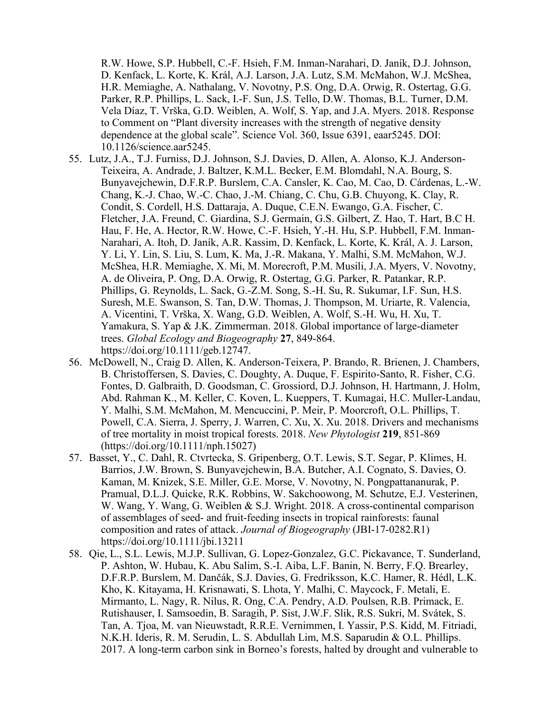R.W. Howe, S.P. Hubbell, C.-F. Hsieh, F.M. Inman-Narahari, D. Janík, D.J. Johnson, D. Kenfack, L. Korte, K. Král, A.J. Larson, J.A. Lutz, S.M. McMahon, W.J. McShea, H.R. Memiaghe, A. Nathalang, V. Novotny, P.S. Ong, D.A. Orwig, R. Ostertag, G.G. Parker, R.P. Phillips, L. Sack, I.-F. Sun, J.S. Tello, D.W. Thomas, B.L. Turner, D.M. Vela Díaz, T. Vrška, G.D. Weiblen, A. Wolf, S. Yap, and J.A. Myers. 2018. Response to Comment on "Plant diversity increases with the strength of negative density dependence at the global scale". Science Vol. 360, Issue 6391, eaar5245. DOI: 10.1126/science.aar5245.

- 55. Lutz, J.A., T.J. Furniss, D.J. Johnson, S.J. Davies, D. Allen, A. Alonso, K.J. Anderson-Teixeira, A. Andrade, J. Baltzer, K.M.L. Becker, E.M. Blomdahl, N.A. Bourg, S. Bunyavejchewin, D.F.R.P. Burslem, C.A. Cansler, K. Cao, M. Cao, D. Cárdenas, L.-W. Chang, K.-J. Chao, W.-C. Chao, J.-M. Chiang, C. Chu, G.B. Chuyong, K. Clay, R. Condit, S. Cordell, H.S. Dattaraja, A. Duque, C.E.N. Ewango, G.A. Fischer, C. Fletcher, J.A. Freund, C. Giardina, S.J. Germain, G.S. Gilbert, Z. Hao, T. Hart, B.C H. Hau, F. He, A. Hector, R.W. Howe, C.-F. Hsieh, Y.-H. Hu, S.P. Hubbell, F.M. Inman-Narahari, A. Itoh, D. Janík, A.R. Kassim, D. Kenfack, L. Korte, K. Král, A. J. Larson, Y. Li, Y. Lin, S. Liu, S. Lum, K. Ma, J.-R. Makana, Y. Malhi, S.M. McMahon, W.J. McShea, H.R. Memiaghe, X. Mi, M. Morecroft, P.M. Musili, J.A. Myers, V. Novotny, A. de Oliveira, P. Ong, D.A. Orwig, R. Ostertag, G.G. Parker, R. Patankar, R.P. Phillips, G. Reynolds, L. Sack, G.-Z.M. Song, S.-H. Su, R. Sukumar, I.F. Sun, H.S. Suresh, M.E. Swanson, S. Tan, D.W. Thomas, J. Thompson, M. Uriarte, R. Valencia, A. Vicentini, T. Vrška, X. Wang, G.D. Weiblen, A. Wolf, S.-H. Wu, H. Xu, T. Yamakura, S. Yap & J.K. Zimmerman. 2018. Global importance of large-diameter trees. *Global Ecology and Biogeography* **27**, 849-864. https://doi.org/10.1111/geb.12747.
- 56. McDowell, N., Craig D. Allen, K. Anderson-Teixera, P. Brando, R. Brienen, J. Chambers, B. Christoffersen, S. Davies, C. Doughty, A. Duque, F. Espirito-Santo, R. Fisher, C.G. Fontes, D. Galbraith, D. Goodsman, C. Grossiord, D.J. Johnson, H. Hartmann, J. Holm, Abd. Rahman K., M. Keller, C. Koven, L. Kueppers, T. Kumagai, H.C. Muller-Landau, Y. Malhi, S.M. McMahon, M. Mencuccini, P. Meir, P. Moorcroft, O.L. Phillips, T. Powell, C.A. Sierra, J. Sperry, J. Warren, C. Xu, X. Xu. 2018. Drivers and mechanisms of tree mortality in moist tropical forests. 2018. *New Phytologist* **219**, 851-869 (https://doi.org/10.1111/nph.15027)
- 57. Basset, Y., C. Dahl, R. Ctvrtecka, S. Gripenberg, O.T. Lewis, S.T. Segar, P. Klimes, H. Barrios, J.W. Brown, S. Bunyavejchewin, B.A. Butcher, A.I. Cognato, S. Davies, O. Kaman, M. Knizek, S.E. Miller, G.E. Morse, V. Novotny, N. Pongpattananurak, P. Pramual, D.L.J. Quicke, R.K. Robbins, W. Sakchoowong, M. Schutze, E.J. Vesterinen, W. Wang, Y. Wang, G. Weiblen & S.J. Wright. 2018. A cross-continental comparison of assemblages of seed- and fruit-feeding insects in tropical rainforests: faunal composition and rates of attack. *Journal of Biogeography* (JBI-17-0282.R1) https://doi.org/10.1111/jbi.13211
- 58. Qie, L., S.L. Lewis, M.J.P. Sullivan, G. Lopez-Gonzalez, G.C. Pickavance, T. Sunderland, P. Ashton, W. Hubau, K. Abu Salim, S.-I. Aiba, L.F. Banin, N. Berry, F.Q. Brearley, D.F.R.P. Burslem, M. Dančák, S.J. Davies, G. Fredriksson, K.C. Hamer, R. Hédl, L.K. Kho, K. Kitayama, H. Krisnawati, S. Lhota, Y. Malhi, C. Maycock, F. Metali, E. Mirmanto, L. Nagy, R. Nilus, R. Ong, C.A. Pendry, A.D. Poulsen, R.B. Primack, E. Rutishauser, I. Samsoedin, B. Saragih, P. Sist, J.W.F. Slik, R.S. Sukri, M. Svátek, S. Tan, A. Tjoa, M. van Nieuwstadt, R.R.E. Vernimmen, I. Yassir, P.S. Kidd, M. Fitriadi, N.K.H. Ideris, R. M. Serudin, L. S. Abdullah Lim, M.S. Saparudin & O.L. Phillips. 2017. A long-term carbon sink in Borneo's forests, halted by drought and vulnerable to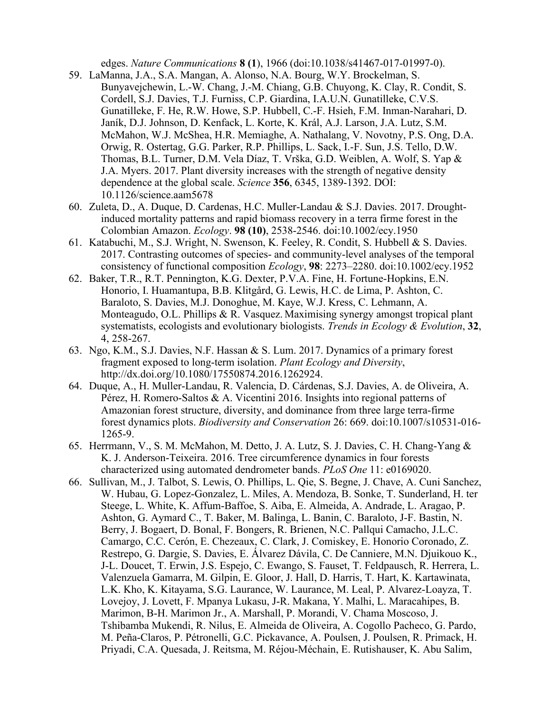edges. *Nature Communications* **8 (1**), 1966 (doi:10.1038/s41467-017-01997-0).

- 59. LaManna, J.A., S.A. Mangan, A. Alonso, N.A. Bourg, W.Y. Brockelman, S. Bunyavejchewin, L.-W. Chang, J.-M. Chiang, G.B. Chuyong, K. Clay, R. Condit, S. Cordell, S.J. Davies, T.J. Furniss, C.P. Giardina, I.A.U.N. Gunatilleke, C.V.S. Gunatilleke, F. He, R.W. Howe, S.P. Hubbell, C.-F. Hsieh, F.M. Inman-Narahari, D. Janík, D.J. Johnson, D. Kenfack, L. Korte, K. Král, A.J. Larson, J.A. Lutz, S.M. McMahon, W.J. McShea, H.R. Memiaghe, A. Nathalang, V. Novotny, P.S. Ong, D.A. Orwig, R. Ostertag, G.G. Parker, R.P. Phillips, L. Sack, I.-F. Sun, J.S. Tello, D.W. Thomas, B.L. Turner, D.M. Vela Díaz, T. Vrška, G.D. Weiblen, A. Wolf, S. Yap & J.A. Myers. 2017. Plant diversity increases with the strength of negative density dependence at the global scale. *Science* **356**, 6345, 1389-1392. DOI: 10.1126/science.aam5678
- 60. Zuleta, D., A. Duque, D. Cardenas, H.C. Muller-Landau & S.J. Davies. 2017. Droughtinduced mortality patterns and rapid biomass recovery in a terra firme forest in the Colombian Amazon. *Ecology*. **98 (10)**, 2538-2546. doi:10.1002/ecy.1950
- 61. Katabuchi, M., S.J. Wright, N. Swenson, K. Feeley, R. Condit, S. Hubbell & S. Davies. 2017. Contrasting outcomes of species- and community-level analyses of the temporal consistency of functional composition *Ecology*, **98**: 2273–2280. doi:10.1002/ecy.1952
- 62. Baker, T.R., R.T. Pennington, K.G. Dexter, P.V.A. Fine, H. Fortune-Hopkins, E.N. Honorio, I. Huamantupa, B.B. Klitgård, G. Lewis, H.C. de Lima, P. Ashton, C. Baraloto, S. Davies, M.J. Donoghue, M. Kaye, W.J. Kress, C. Lehmann, A. Monteagudo, O.L. Phillips & R. Vasquez. Maximising synergy amongst tropical plant systematists, ecologists and evolutionary biologists. *Trends in Ecology & Evolution*, **32**, 4, 258-267.
- 63. Ngo, K.M., S.J. Davies, N.F. Hassan & S. Lum. 2017. Dynamics of a primary forest fragment exposed to long-term isolation. *Plant Ecology and Diversity*, http://dx.doi.org/10.1080/17550874.2016.1262924.
- 64. Duque, A., H. Muller-Landau, R. Valencia, D. Cárdenas, S.J. Davies, A. de Oliveira, A. Pérez, H. Romero-Saltos & A. Vicentini 2016. Insights into regional patterns of Amazonian forest structure, diversity, and dominance from three large terra-firme forest dynamics plots. *Biodiversity and Conservation* 26: 669. doi:10.1007/s10531-016- 1265-9.
- 65. Herrmann, V., S. M. McMahon, M. Detto, J. A. Lutz, S. J. Davies, C. H. Chang-Yang & K. J. Anderson-Teixeira. 2016. Tree circumference dynamics in four forests characterized using automated dendrometer bands. *PLoS One* 11: e0169020.
- 66. Sullivan, M., J. Talbot, S. Lewis, O. Phillips, L. Qie, S. Begne, J. Chave, A. Cuni Sanchez, W. Hubau, G. Lopez-Gonzalez, L. Miles, A. Mendoza, B. Sonke, T. Sunderland, H. ter Steege, L. White, K. Affum-Baffoe, S. Aiba, E. Almeida, A. Andrade, L. Aragao, P. Ashton, G. Aymard C., T. Baker, M. Balinga, L. Banin, C. Baraloto, J-F. Bastin, N. Berry, J. Bogaert, D. Bonal, F. Bongers, R. Brienen, N.C. Pallqui Camacho, J.L.C. Camargo, C.C. Cerón, E. Chezeaux, C. Clark, J. Comiskey, E. Honorio Coronado, Z. Restrepo, G. Dargie, S. Davies, E. Álvarez Dávila, C. De Canniere, M.N. Djuikouo K., J-L. Doucet, T. Erwin, J.S. Espejo, C. Ewango, S. Fauset, T. Feldpausch, R. Herrera, L. Valenzuela Gamarra, M. Gilpin, E. Gloor, J. Hall, D. Harris, T. Hart, K. Kartawinata, L.K. Kho, K. Kitayama, S.G. Laurance, W. Laurance, M. Leal, P. Alvarez-Loayza, T. Lovejoy, J. Lovett, F. Mpanya Lukasu, J-R. Makana, Y. Malhi, L. Maracahipes, B. Marimon, B-H. Marimon Jr., A. Marshall, P. Morandi, V. Chama Moscoso, J. Tshibamba Mukendi, R. Nilus, E. Almeida de Oliveira, A. Cogollo Pacheco, G. Pardo, M. Peña-Claros, P. Pétronelli, G.C. Pickavance, A. Poulsen, J. Poulsen, R. Primack, H. Priyadi, C.A. Quesada, J. Reitsma, M. Réjou-Méchain, E. Rutishauser, K. Abu Salim,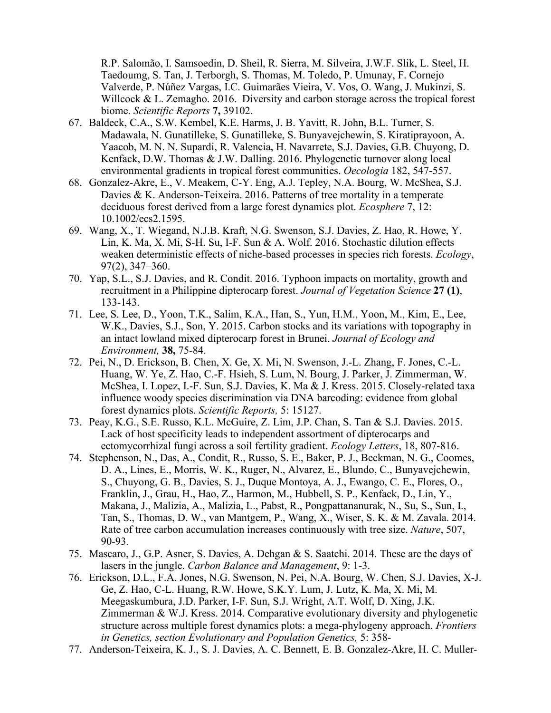R.P. Salomão, I. Samsoedin, D. Sheil, R. Sierra, M. Silveira, J.W.F. Slik, L. Steel, H. Taedoumg, S. Tan, J. Terborgh, S. Thomas, M. Toledo, P. Umunay, F. Cornejo Valverde, P. Núñez Vargas, I.C. Guimarães Vieira, V. Vos, O. Wang, J. Mukinzi, S. Willcock & L. Zemagho. 2016. Diversity and carbon storage across the tropical forest biome. *Scientific Reports* **7,** 39102.

- 67. Baldeck, C.A., S.W. Kembel, K.E. Harms, J. B. Yavitt, R. John, B.L. Turner, S. Madawala, N. Gunatilleke, S. Gunatilleke, S. Bunyavejchewin, S. Kiratiprayoon, A. Yaacob, M. N. N. Supardi, R. Valencia, H. Navarrete, S.J. Davies, G.B. Chuyong, D. Kenfack, D.W. Thomas & J.W. Dalling. 2016. Phylogenetic turnover along local environmental gradients in tropical forest communities. *Oecologia* 182, 547-557.
- 68. Gonzalez-Akre, E., V. Meakem, C-Y. Eng, A.J. Tepley, N.A. Bourg, W. McShea, S.J. Davies & K. Anderson-Teixeira. 2016. Patterns of tree mortality in a temperate deciduous forest derived from a large forest dynamics plot. *Ecosphere* 7, 12: 10.1002/ecs2.1595.
- 69. Wang, X., T. Wiegand, N.J.B. Kraft, N.G. Swenson, S.J. Davies, Z. Hao, R. Howe, Y. Lin, K. Ma, X. Mi, S-H. Su, I-F. Sun & A. Wolf. 2016. Stochastic dilution effects weaken deterministic effects of niche-based processes in species rich forests. *Ecology*, 97(2), 347–360.
- 70. Yap, S.L., S.J. Davies, and R. Condit. 2016. Typhoon impacts on mortality, growth and recruitment in a Philippine dipterocarp forest. *Journal of Vegetation Science* **27 (1)**, 133-143.
- 71. Lee, S. Lee, D., Yoon, T.K., Salim, K.A., Han, S., Yun, H.M., Yoon, M., Kim, E., Lee, W.K., Davies, S.J., Son, Y. 2015. Carbon stocks and its variations with topography in an intact lowland mixed dipterocarp forest in Brunei. *Journal of Ecology and Environment,* **38,** 75-84.
- 72. Pei, N., D. Erickson, B. Chen, X. Ge, X. Mi, N. Swenson, J.-L. Zhang, F. Jones, C.-L. Huang, W. Ye, Z. Hao, C.-F. Hsieh, S. Lum, N. Bourg, J. Parker, J. Zimmerman, W. McShea, I. Lopez, I.-F. Sun, S.J. Davies, K. Ma & J. Kress. 2015. Closely-related taxa influence woody species discrimination via DNA barcoding: evidence from global forest dynamics plots. *Scientific Reports,* 5: 15127.
- 73. Peay, K.G., S.E. Russo, K.L. McGuire, Z. Lim, J.P. Chan, S. Tan & S.J. Davies. 2015. Lack of host specificity leads to independent assortment of dipterocarps and ectomycorrhizal fungi across a soil fertility gradient. *Ecology Letters*, 18, 807-816.
- 74. Stephenson, N., Das, A., Condit, R., Russo, S. E., Baker, P. J., Beckman, N. G., Coomes, D. A., Lines, E., Morris, W. K., Ruger, N., Alvarez, E., Blundo, C., Bunyavejchewin, S., Chuyong, G. B., Davies, S. J., Duque Montoya, A. J., Ewango, C. E., Flores, O., Franklin, J., Grau, H., Hao, Z., Harmon, M., Hubbell, S. P., Kenfack, D., Lin, Y., Makana, J., Malizia, A., Malizia, L., Pabst, R., Pongpattananurak, N., Su, S., Sun, I., Tan, S., Thomas, D. W., van Mantgem, P., Wang, X., Wiser, S. K. & M. Zavala. 2014. Rate of tree carbon accumulation increases continuously with tree size. *Nature*, 507, 90-93.
- 75. Mascaro, J., G.P. Asner, S. Davies, A. Dehgan & S. Saatchi. 2014. These are the days of lasers in the jungle. *Carbon Balance and Management*, 9: 1-3.
- 76. Erickson, D.L., F.A. Jones, N.G. Swenson, N. Pei, N.A. Bourg, W. Chen, S.J. Davies, X-J. Ge, Z. Hao, C-L. Huang, R.W. Howe, S.K.Y. Lum, J. Lutz, K. Ma, X. Mi, M. Meegaskumbura, J.D. Parker, I-F. Sun, S.J. Wright, A.T. Wolf, D. Xing, J.K. Zimmerman & W.J. Kress. 2014. Comparative evolutionary diversity and phylogenetic structure across multiple forest dynamics plots: a mega-phylogeny approach. *Frontiers in Genetics, section Evolutionary and Population Genetics,* 5: 358-
- 77. Anderson-Teixeira, K. J., S. J. Davies, A. C. Bennett, E. B. Gonzalez-Akre, H. C. Muller-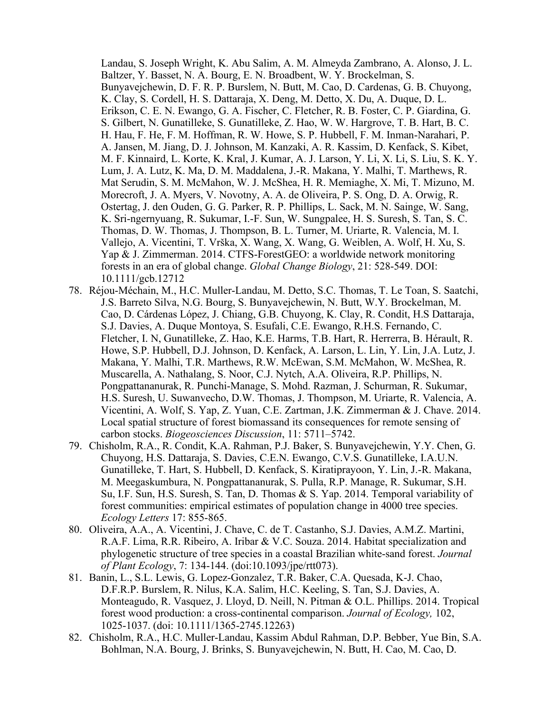Landau, S. Joseph Wright, K. Abu Salim, A. M. Almeyda Zambrano, A. Alonso, J. L. Baltzer, Y. Basset, N. A. Bourg, E. N. Broadbent, W. Y. Brockelman, S. Bunyavejchewin, D. F. R. P. Burslem, N. Butt, M. Cao, D. Cardenas, G. B. Chuyong, K. Clay, S. Cordell, H. S. Dattaraja, X. Deng, M. Detto, X. Du, A. Duque, D. L. Erikson, C. E. N. Ewango, G. A. Fischer, C. Fletcher, R. B. Foster, C. P. Giardina, G. S. Gilbert, N. Gunatilleke, S. Gunatilleke, Z. Hao, W. W. Hargrove, T. B. Hart, B. C. H. Hau, F. He, F. M. Hoffman, R. W. Howe, S. P. Hubbell, F. M. Inman-Narahari, P. A. Jansen, M. Jiang, D. J. Johnson, M. Kanzaki, A. R. Kassim, D. Kenfack, S. Kibet, M. F. Kinnaird, L. Korte, K. Kral, J. Kumar, A. J. Larson, Y. Li, X. Li, S. Liu, S. K. Y. Lum, J. A. Lutz, K. Ma, D. M. Maddalena, J.-R. Makana, Y. Malhi, T. Marthews, R. Mat Serudin, S. M. McMahon, W. J. McShea, H. R. Memiaghe, X. Mi, T. Mizuno, M. Morecroft, J. A. Myers, V. Novotny, A. A. de Oliveira, P. S. Ong, D. A. Orwig, R. Ostertag, J. den Ouden, G. G. Parker, R. P. Phillips, L. Sack, M. N. Sainge, W. Sang, K. Sri-ngernyuang, R. Sukumar, I.-F. Sun, W. Sungpalee, H. S. Suresh, S. Tan, S. C. Thomas, D. W. Thomas, J. Thompson, B. L. Turner, M. Uriarte, R. Valencia, M. I. Vallejo, A. Vicentini, T. Vrška, X. Wang, X. Wang, G. Weiblen, A. Wolf, H. Xu, S. Yap & J. Zimmerman. 2014. CTFS-ForestGEO: a worldwide network monitoring forests in an era of global change. *Global Change Biology*, 21: 528-549. DOI: 10.1111/gcb.12712

- 78. Réjou-Méchain, M., H.C. Muller-Landau, M. Detto, S.C. Thomas, T. Le Toan, S. Saatchi, J.S. Barreto Silva, N.G. Bourg, S. Bunyavejchewin, N. Butt, W.Y. Brockelman, M. Cao, D. Cárdenas López, J. Chiang, G.B. Chuyong, K. Clay, R. Condit, H.S Dattaraja, S.J. Davies, A. Duque Montoya, S. Esufali, C.E. Ewango, R.H.S. Fernando, C. Fletcher, I. N, Gunatilleke, Z. Hao, K.E. Harms, T.B. Hart, R. Herrerra, B. Hérault, R. Howe, S.P. Hubbell, D.J. Johnson, D. Kenfack, A. Larson, L. Lin, Y. Lin, J.A. Lutz, J. Makana, Y. Malhi, T.R. Marthews, R.W. McEwan, S.M. McMahon, W. McShea, R. Muscarella, A. Nathalang, S. Noor, C.J. Nytch, A.A. Oliveira, R.P. Phillips, N. Pongpattananurak, R. Punchi-Manage, S. Mohd. Razman, J. Schurman, R. Sukumar, H.S. Suresh, U. Suwanvecho, D.W. Thomas, J. Thompson, M. Uriarte, R. Valencia, A. Vicentini, A. Wolf, S. Yap, Z. Yuan, C.E. Zartman, J.K. Zimmerman & J. Chave. 2014. Local spatial structure of forest biomassand its consequences for remote sensing of carbon stocks. *Biogeosciences Discussion*, 11: 5711–5742.
- 79. Chisholm, R.A., R. Condit, K.A. Rahman, P.J. Baker, S. Bunyavejchewin, Y.Y. Chen, G. Chuyong, H.S. Dattaraja, S. Davies, C.E.N. Ewango, C.V.S. Gunatilleke, I.A.U.N. Gunatilleke, T. Hart, S. Hubbell, D. Kenfack, S. Kiratiprayoon, Y. Lin, J.-R. Makana, M. Meegaskumbura, N. Pongpattananurak, S. Pulla, R.P. Manage, R. Sukumar, S.H. Su, I.F. Sun, H.S. Suresh, S. Tan, D. Thomas & S. Yap. 2014. Temporal variability of forest communities: empirical estimates of population change in 4000 tree species. *Ecology Letters* 17: 855-865.
- 80. Oliveira, A.A., A. Vicentini, J. Chave, C. de T. Castanho, S.J. Davies, A.M.Z. Martini, R.A.F. Lima, R.R. Ribeiro, A. Iribar & V.C. Souza. 2014. Habitat specialization and phylogenetic structure of tree species in a coastal Brazilian white-sand forest. *Journal of Plant Ecology*, 7: 134-144. (doi:10.1093/jpe/rtt073).
- 81. Banin, L., S.L. Lewis, G. Lopez-Gonzalez, T.R. Baker, C.A. Quesada, K-J. Chao, D.F.R.P. Burslem, R. Nilus, K.A. Salim, H.C. Keeling, S. Tan, S.J. Davies, A. Monteagudo, R. Vasquez, J. Lloyd, D. Neill, N. Pitman & O.L. Phillips. 2014. Tropical forest wood production: a cross-continental comparison. *Journal of Ecology,* 102, 1025-1037. (doi: 10.1111/1365-2745.12263)
- 82. Chisholm, R.A., H.C. Muller-Landau, Kassim Abdul Rahman, D.P. Bebber, Yue Bin, S.A. Bohlman, N.A. Bourg, J. Brinks, S. Bunyavejchewin, N. Butt, H. Cao, M. Cao, D.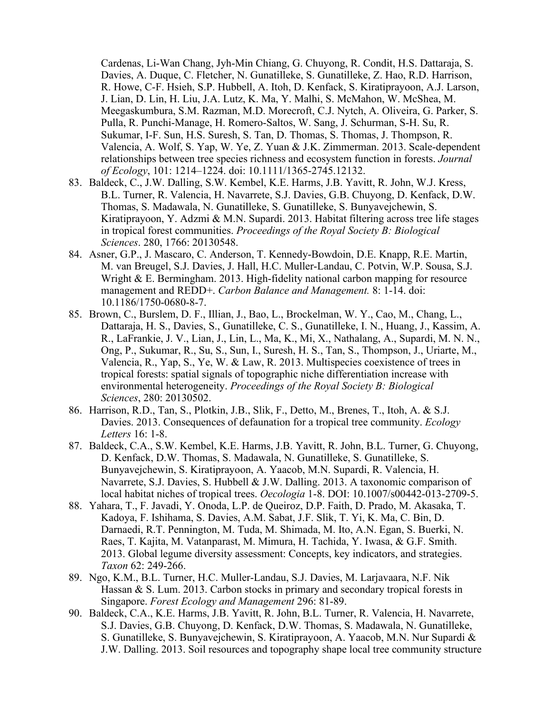Cardenas, Li-Wan Chang, Jyh-Min Chiang, G. Chuyong, R. Condit, H.S. Dattaraja, S. Davies, A. Duque, C. Fletcher, N. Gunatilleke, S. Gunatilleke, Z. Hao, R.D. Harrison, R. Howe, C-F. Hsieh, S.P. Hubbell, A. Itoh, D. Kenfack, S. Kiratiprayoon, A.J. Larson, J. Lian, D. Lin, H. Liu, J.A. Lutz, K. Ma, Y. Malhi, S. McMahon, W. McShea, M. Meegaskumbura, S.M. Razman, M.D. Morecroft, C.J. Nytch, A. Oliveira, G. Parker, S. Pulla, R. Punchi-Manage, H. Romero-Saltos, W. Sang, J. Schurman, S-H. Su, R. Sukumar, I-F. Sun, H.S. Suresh, S. Tan, D. Thomas, S. Thomas, J. Thompson, R. Valencia, A. Wolf, S. Yap, W. Ye, Z. Yuan & J.K. Zimmerman. 2013. Scale-dependent relationships between tree species richness and ecosystem function in forests. *Journal of Ecology*, 101: 1214–1224. doi: 10.1111/1365-2745.12132.

- 83. Baldeck, C., J.W. Dalling, S.W. Kembel, K.E. Harms, J.B. Yavitt, R. John, W.J. Kress, B.L. Turner, R. Valencia, H. Navarrete, S.J. Davies, G.B. Chuyong, D. Kenfack, D.W. Thomas, S. Madawala, N. Gunatilleke, S. Gunatilleke, S. Bunyavejchewin, S. Kiratiprayoon, Y. Adzmi & M.N. Supardi. 2013. Habitat filtering across tree life stages in tropical forest communities. *Proceedings of the Royal Society B: Biological Sciences*. 280, 1766: 20130548.
- 84. Asner, G.P., J. Mascaro, C. Anderson, T. Kennedy-Bowdoin, D.E. Knapp, R.E. Martin, M. van Breugel, S.J. Davies, J. Hall, H.C. Muller-Landau, C. Potvin, W.P. Sousa, S.J. Wright & E. Bermingham. 2013. High-fidelity national carbon mapping for resource management and REDD+. *Carbon Balance and Management.* 8: 1-14. doi: 10.1186/1750-0680-8-7.
- 85. Brown, C., Burslem, D. F., Illian, J., Bao, L., Brockelman, W. Y., Cao, M., Chang, L., Dattaraja, H. S., Davies, S., Gunatilleke, C. S., Gunatilleke, I. N., Huang, J., Kassim, A. R., LaFrankie, J. V., Lian, J., Lin, L., Ma, K., Mi, X., Nathalang, A., Supardi, M. N. N., Ong, P., Sukumar, R., Su, S., Sun, I., Suresh, H. S., Tan, S., Thompson, J., Uriarte, M., Valencia, R., Yap, S., Ye, W. & Law, R. 2013. Multispecies coexistence of trees in tropical forests: spatial signals of topographic niche differentiation increase with environmental heterogeneity. *Proceedings of the Royal Society B: Biological Sciences*, 280: 20130502.
- 86. Harrison, R.D., Tan, S., Plotkin, J.B., Slik, F., Detto, M., Brenes, T., Itoh, A. & S.J. Davies. 2013. Consequences of defaunation for a tropical tree community. *Ecology Letters* 16: 1-8.
- 87. Baldeck, C.A., S.W. Kembel, K.E. Harms, J.B. Yavitt, R. John, B.L. Turner, G. Chuyong, D. Kenfack, D.W. Thomas, S. Madawala, N. Gunatilleke, S. Gunatilleke, S. Bunyavejchewin, S. Kiratiprayoon, A. Yaacob, M.N. Supardi, R. Valencia, H. Navarrete, S.J. Davies, S. Hubbell & J.W. Dalling. 2013. A taxonomic comparison of local habitat niches of tropical trees. *Oecologia* 1-8. DOI: 10.1007/s00442-013-2709-5.
- 88. Yahara, T., F. Javadi, Y. Onoda, L.P. de Queiroz, D.P. Faith, D. Prado, M. Akasaka, T. Kadoya, F. Ishihama, S. Davies, A.M. Sabat, J.F. Slik, T. Yi, K. Ma, C. Bin, D. Darnaedi, R.T. Pennington, M. Tuda, M. Shimada, M. Ito, A.N. Egan, S. Buerki, N. Raes, T. Kajita, M. Vatanparast, M. Mimura, H. Tachida, Y. Iwasa, & G.F. Smith. 2013. Global legume diversity assessment: Concepts, key indicators, and strategies. *Taxon* 62: 249-266.
- 89. Ngo, K.M., B.L. Turner, H.C. Muller-Landau, S.J. Davies, M. Larjavaara, N.F. Nik Hassan & S. Lum. 2013. Carbon stocks in primary and secondary tropical forests in Singapore. *Forest Ecology and Management* 296: 81-89.
- 90. Baldeck, C.A., K.E. Harms, J.B. Yavitt, R. John, B.L. Turner, R. Valencia, H. Navarrete, S.J. Davies, G.B. Chuyong, D. Kenfack, D.W. Thomas, S. Madawala, N. Gunatilleke, S. Gunatilleke, S. Bunyavejchewin, S. Kiratiprayoon, A. Yaacob, M.N. Nur Supardi & J.W. Dalling. 2013. Soil resources and topography shape local tree community structure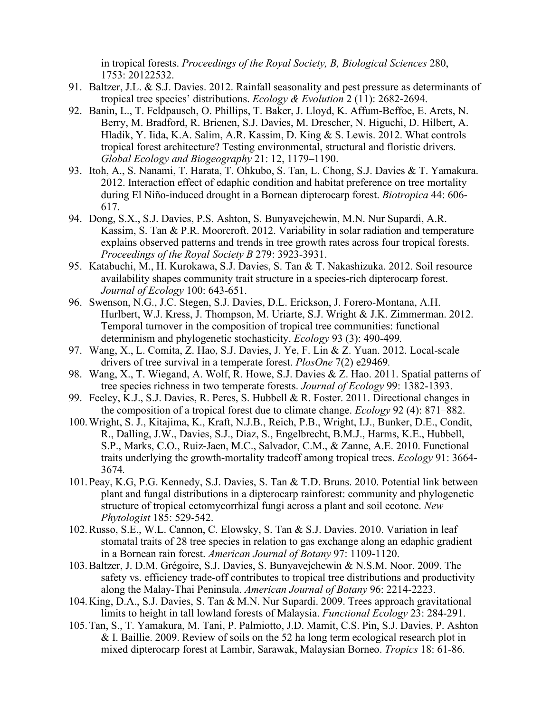in tropical forests. *Proceedings of the Royal Society, B, Biological Sciences* 280, 1753: 20122532.

- 91. Baltzer, J.L. & S.J. Davies. 2012. Rainfall seasonality and pest pressure as determinants of tropical tree species' distributions. *Ecology & Evolution* 2 (11): 2682-2694.
- 92. Banin, L., T. Feldpausch, O. Phillips, T. Baker, J. Lloyd, K. Affum-Beffoe, E. Arets, N. Berry, M. Bradford, R. Brienen, S.J. Davies, M. Drescher, N. Higuchi, D. Hilbert, A. Hladik, Y. Iida, K.A. Salim, A.R. Kassim, D. King & S. Lewis. 2012. What controls tropical forest architecture? Testing environmental, structural and floristic drivers. *Global Ecology and Biogeography* 21: 12, 1179–1190.
- 93. Itoh, A., S. Nanami, T. Harata, T. Ohkubo, S. Tan, L. Chong, S.J. Davies & T. Yamakura. 2012. Interaction effect of edaphic condition and habitat preference on tree mortality during El Niño-induced drought in a Bornean dipterocarp forest. *Biotropica* 44: 606- 617.
- 94. Dong, S.X., S.J. Davies, P.S. Ashton, S. Bunyavejchewin, M.N. Nur Supardi, A.R. Kassim, S. Tan & P.R. Moorcroft. 2012. Variability in solar radiation and temperature explains observed patterns and trends in tree growth rates across four tropical forests. *Proceedings of the Royal Society B* 279: 3923-3931.
- 95. Katabuchi, M., H. Kurokawa, S.J. Davies, S. Tan & T. Nakashizuka. 2012. Soil resource availability shapes community trait structure in a species-rich dipterocarp forest. *Journal of Ecology* 100: 643-651.
- 96. Swenson, N.G., J.C. Stegen, S.J. Davies, D.L. Erickson, J. Forero-Montana, A.H. Hurlbert, W.J. Kress, J. Thompson, M. Uriarte, S.J. Wright & J.K. Zimmerman. 2012. Temporal turnover in the composition of tropical tree communities: functional determinism and phylogenetic stochasticity. *Ecology* 93 (3): 490-499*.*
- 97. Wang, X., L. Comita, Z. Hao, S.J. Davies, J. Ye, F. Lin & Z. Yuan. 2012. Local-scale drivers of tree survival in a temperate forest. *PlosOne* 7(2) e29469*.*
- 98. Wang, X., T. Wiegand, A. Wolf, R. Howe, S.J. Davies & Z. Hao. 2011. Spatial patterns of tree species richness in two temperate forests. *Journal of Ecology* 99: 1382-1393.
- 99. Feeley, K.J., S.J. Davies, R. Peres, S. Hubbell & R. Foster. 2011. Directional changes in the composition of a tropical forest due to climate change. *Ecology* 92 (4): 871–882.
- 100.Wright, S. J., Kitajima, K., Kraft, N.J.B., Reich, P.B., Wright, I.J., Bunker, D.E., Condit, R., Dalling, J.W., Davies, S.J., Diaz, S., Engelbrecht, B.M.J., Harms, K.E., Hubbell, S.P., Marks, C.O., Ruiz-Jaen, M.C., Salvador, C.M., & Zanne, A.E. 2010. Functional traits underlying the growth-mortality tradeoff among tropical trees. *Ecology* 91: 3664- 3674*.*
- 101.Peay, K.G, P.G. Kennedy, S.J. Davies, S. Tan & T.D. Bruns. 2010. Potential link between plant and fungal distributions in a dipterocarp rainforest: community and phylogenetic structure of tropical ectomycorrhizal fungi across a plant and soil ecotone. *New Phytologist* 185: 529-542.
- 102.Russo, S.E., W.L. Cannon, C. Elowsky, S. Tan & S.J. Davies. 2010. Variation in leaf stomatal traits of 28 tree species in relation to gas exchange along an edaphic gradient in a Bornean rain forest. *American Journal of Botany* 97: 1109-1120.
- 103.Baltzer, J. D.M. Grégoire, S.J. Davies, S. Bunyavejchewin & N.S.M. Noor. 2009. The safety vs. efficiency trade-off contributes to tropical tree distributions and productivity along the Malay-Thai Peninsula. *American Journal of Botany* 96: 2214-2223.
- 104.King, D.A., S.J. Davies, S. Tan & M.N. Nur Supardi. 2009. Trees approach gravitational limits to height in tall lowland forests of Malaysia. *Functional Ecology* 23: 284-291.
- 105.Tan, S., T. Yamakura, M. Tani, P. Palmiotto, J.D. Mamit, C.S. Pin, S.J. Davies, P. Ashton & I. Baillie. 2009. Review of soils on the 52 ha long term ecological research plot in mixed dipterocarp forest at Lambir, Sarawak, Malaysian Borneo. *Tropics* 18: 61-86.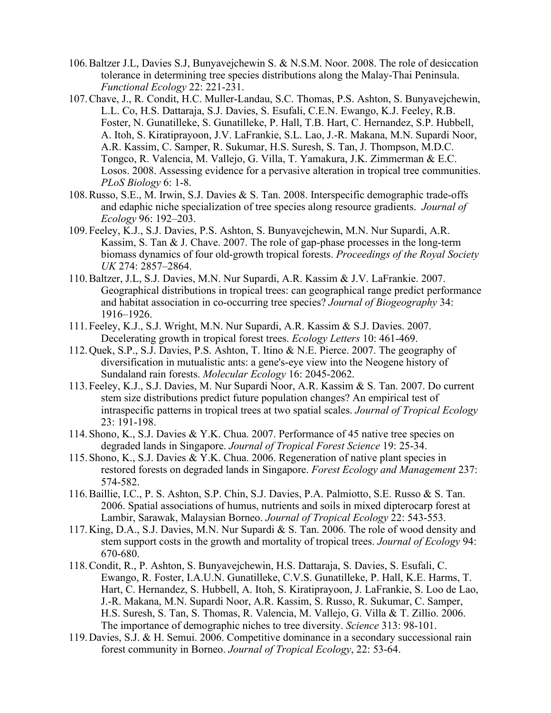- 106.Baltzer J.L, Davies S.J, Bunyavejchewin S. & N.S.M. Noor. 2008. The role of desiccation tolerance in determining tree species distributions along the Malay-Thai Peninsula. *Functional Ecology* 22: 221-231.
- 107.Chave, J., R. Condit, H.C. Muller-Landau, S.C. Thomas, P.S. Ashton, S. Bunyavejchewin, L.L. Co, H.S. Dattaraja, S.J. Davies, S. Esufali, C.E.N. Ewango, K.J. Feeley, R.B. Foster, N. Gunatilleke, S. Gunatilleke, P. Hall, T.B. Hart, C. Hernandez, S.P. Hubbell, A. Itoh, S. Kiratiprayoon, J.V. LaFrankie, S.L. Lao, J.-R. Makana, M.N. Supardi Noor, A.R. Kassim, C. Samper, R. Sukumar, H.S. Suresh, S. Tan, J. Thompson, M.D.C. Tongco, R. Valencia, M. Vallejo, G. Villa, T. Yamakura, J.K. Zimmerman & E.C. Losos. 2008. Assessing evidence for a pervasive alteration in tropical tree communities. *PLoS Biology* 6: 1-8.
- 108.Russo, S.E., M. Irwin, S.J. Davies & S. Tan. 2008. Interspecific demographic trade-offs and edaphic niche specialization of tree species along resource gradients. *Journal of Ecology* 96: 192–203.
- 109.Feeley, K.J., S.J. Davies, P.S. Ashton, S. Bunyavejchewin, M.N. Nur Supardi, A.R. Kassim, S. Tan & J. Chave. 2007. The role of gap-phase processes in the long-term biomass dynamics of four old-growth tropical forests. *Proceedings of the Royal Society UK* 274: 2857–2864.
- 110.Baltzer, J.L, S.J. Davies, M.N. Nur Supardi, A.R. Kassim & J.V. LaFrankie. 2007. Geographical distributions in tropical trees: can geographical range predict performance and habitat association in co-occurring tree species? *Journal of Biogeography* 34: 1916–1926.
- 111.Feeley, K.J., S.J. Wright, M.N. Nur Supardi, A.R. Kassim & S.J. Davies. 2007. Decelerating growth in tropical forest trees. *Ecology Letters* 10: 461-469.
- 112.Quek, S.P., S.J. Davies, P.S. Ashton, T. Itino & N.E. Pierce. 2007. The geography of diversification in mutualistic ants: a gene's-eye view into the Neogene history of Sundaland rain forests. *Molecular Ecology* 16: 2045-2062.
- 113.Feeley, K.J., S.J. Davies, M. Nur Supardi Noor, A.R. Kassim & S. Tan. 2007. Do current stem size distributions predict future population changes? An empirical test of intraspecific patterns in tropical trees at two spatial scales. *Journal of Tropical Ecology* 23: 191-198.
- 114.Shono, K., S.J. Davies & Y.K. Chua. 2007. Performance of 45 native tree species on degraded lands in Singapore. *Journal of Tropical Forest Science* 19: 25-34.
- 115.Shono, K., S.J. Davies & Y.K. Chua. 2006. Regeneration of native plant species in restored forests on degraded lands in Singapore. *Forest Ecology and Management* 237: 574-582.
- 116.Baillie, I.C., P. S. Ashton, S.P. Chin, S.J. Davies, P.A. Palmiotto, S.E. Russo & S. Tan. 2006. Spatial associations of humus, nutrients and soils in mixed dipterocarp forest at Lambir, Sarawak, Malaysian Borneo. *Journal of Tropical Ecology* 22: 543-553.
- 117.King, D.A., S.J. Davies, M.N. Nur Supardi & S. Tan. 2006. The role of wood density and stem support costs in the growth and mortality of tropical trees. *Journal of Ecology* 94: 670-680.
- 118.Condit, R., P. Ashton, S. Bunyavejchewin, H.S. Dattaraja, S. Davies, S. Esufali, C. Ewango, R. Foster, I.A.U.N. Gunatilleke, C.V.S. Gunatilleke, P. Hall, K.E. Harms, T. Hart, C. Hernandez, S. Hubbell, A. Itoh, S. Kiratiprayoon, J. LaFrankie, S. Loo de Lao, J.-R. Makana, M.N. Supardi Noor, A.R. Kassim, S. Russo, R. Sukumar, C. Samper, H.S. Suresh, S. Tan, S. Thomas, R. Valencia, M. Vallejo, G. Villa & T. Zillio. 2006. The importance of demographic niches to tree diversity. *Science* 313: 98-101.
- 119.Davies, S.J. & H. Semui. 2006. Competitive dominance in a secondary successional rain forest community in Borneo. *Journal of Tropical Ecology*, 22: 53-64.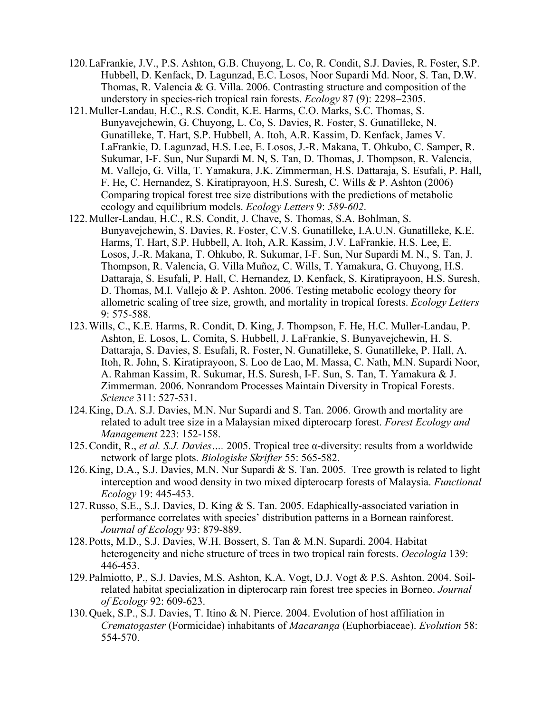- 120.LaFrankie, J.V., P.S. Ashton, G.B. Chuyong, L. Co, R. Condit, S.J. Davies, R. Foster, S.P. Hubbell, D. Kenfack, D. Lagunzad, E.C. Losos, Noor Supardi Md. Noor, S. Tan, D.W. Thomas, R. Valencia & G. Villa. 2006. Contrasting structure and composition of the understory in species-rich tropical rain forests. *Ecology* 87 (9): 2298–2305.
- 121.Muller-Landau, H.C., R.S. Condit, K.E. Harms, C.O. Marks, S.C. Thomas, S. Bunyavejchewin, G. Chuyong, L. Co, S. Davies, R. Foster, S. Gunatilleke, N. Gunatilleke, T. Hart, S.P. Hubbell, A. Itoh, A.R. Kassim, D. Kenfack, James V. LaFrankie, D. Lagunzad, H.S. Lee, E. Losos, J.-R. Makana, T. Ohkubo, C. Samper, R. Sukumar, I-F. Sun, Nur Supardi M. N, S. Tan, D. Thomas, J. Thompson, R. Valencia, M. Vallejo, G. Villa, T. Yamakura, J.K. Zimmerman, H.S. Dattaraja, S. Esufali, P. Hall, F. He, C. Hernandez, S. Kiratiprayoon, H.S. Suresh, C. Wills & P. Ashton (2006) Comparing tropical forest tree size distributions with the predictions of metabolic ecology and equilibrium models. *Ecology Letters* 9: *589-602*.
- 122.Muller-Landau, H.C., R.S. Condit, J. Chave, S. Thomas, S.A. Bohlman, S. Bunyavejchewin, S. Davies, R. Foster, C.V.S. Gunatilleke, I.A.U.N. Gunatilleke, K.E. Harms, T. Hart, S.P. Hubbell, A. Itoh, A.R. Kassim, J.V. LaFrankie, H.S. Lee, E. Losos, J.-R. Makana, T. Ohkubo, R. Sukumar, I-F. Sun, Nur Supardi M. N., S. Tan, J. Thompson, R. Valencia, G. Villa Muñoz, C. Wills, T. Yamakura, G. Chuyong, H.S. Dattaraja, S. Esufali, P. Hall, C. Hernandez, D. Kenfack, S. Kiratiprayoon, H.S. Suresh, D. Thomas, M.I. Vallejo & P. Ashton. 2006. Testing metabolic ecology theory for allometric scaling of tree size, growth, and mortality in tropical forests. *Ecology Letters*  9: 575-588.
- 123.Wills, C., K.E. Harms, R. Condit, D. King, J. Thompson, F. He, H.C. Muller-Landau, P. Ashton, E. Losos, L. Comita, S. Hubbell, J. LaFrankie, S. Bunyavejchewin, H. S. Dattaraja, S. Davies, S. Esufali, R. Foster, N. Gunatilleke, S. Gunatilleke, P. Hall, A. Itoh, R. John, S. Kiratiprayoon, S. Loo de Lao, M. Massa, C. Nath, M.N. Supardi Noor, A. Rahman Kassim, R. Sukumar, H.S. Suresh, I-F. Sun, S. Tan, T. Yamakura & J. Zimmerman. 2006. Nonrandom Processes Maintain Diversity in Tropical Forests. *Science* 311: 527-531.
- 124.King, D.A. S.J. Davies, M.N. Nur Supardi and S. Tan. 2006. Growth and mortality are related to adult tree size in a Malaysian mixed dipterocarp forest. *Forest Ecology and Management* 223: 152-158.
- 125.Condit, R., *et al. S.J. Davies….* 2005. Tropical tree α-diversity: results from a worldwide network of large plots. *Biologiske Skrifter* 55: 565-582.
- 126.King, D.A., S.J. Davies, M.N. Nur Supardi & S. Tan. 2005. Tree growth is related to light interception and wood density in two mixed dipterocarp forests of Malaysia. *Functional Ecology* 19: 445-453.
- 127.Russo, S.E., S.J. Davies, D. King & S. Tan. 2005. Edaphically-associated variation in performance correlates with species' distribution patterns in a Bornean rainforest. *Journal of Ecology* 93: 879-889.
- 128.Potts, M.D., S.J. Davies, W.H. Bossert, S. Tan & M.N. Supardi. 2004. Habitat heterogeneity and niche structure of trees in two tropical rain forests. *Oecologia* 139: 446-453.
- 129.Palmiotto, P., S.J. Davies, M.S. Ashton, K.A. Vogt, D.J. Vogt & P.S. Ashton. 2004. Soilrelated habitat specialization in dipterocarp rain forest tree species in Borneo. *Journal of Ecology* 92: 609-623.
- 130.Quek, S.P., S.J. Davies, T. Itino & N. Pierce. 2004. Evolution of host affiliation in *Crematogaster* (Formicidae) inhabitants of *Macaranga* (Euphorbiaceae). *Evolution* 58: 554-570.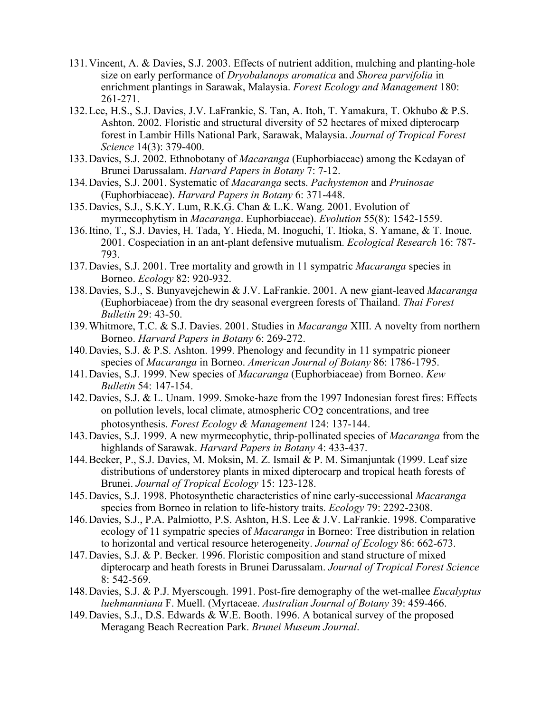- 131.Vincent, A. & Davies, S.J. 2003. Effects of nutrient addition, mulching and planting-hole size on early performance of *Dryobalanops aromatica* and *Shorea parvifolia* in enrichment plantings in Sarawak, Malaysia. *Forest Ecology and Management* 180: 261-271.
- 132.Lee, H.S., S.J. Davies, J.V. LaFrankie, S. Tan, A. Itoh, T. Yamakura, T. Okhubo & P.S. Ashton. 2002. Floristic and structural diversity of 52 hectares of mixed dipterocarp forest in Lambir Hills National Park, Sarawak, Malaysia. *Journal of Tropical Forest Science* 14(3): 379-400.
- 133.Davies, S.J. 2002. Ethnobotany of *Macaranga* (Euphorbiaceae) among the Kedayan of Brunei Darussalam. *Harvard Papers in Botany* 7: 7-12.
- 134.Davies, S.J. 2001. Systematic of *Macaranga* sects. *Pachystemon* and *Pruinosae* (Euphorbiaceae). *Harvard Papers in Botany* 6: 371-448.
- 135.Davies, S.J., S.K.Y. Lum, R.K.G. Chan & L.K. Wang. 2001. Evolution of myrmecophytism in *Macaranga*. Euphorbiaceae). *Evolution* 55(8): 1542-1559.
- 136.Itino, T., S.J. Davies, H. Tada, Y. Hieda, M. Inoguchi, T. Itioka, S. Yamane, & T. Inoue. 2001. Cospeciation in an ant-plant defensive mutualism. *Ecological Research* 16: 787- 793.
- 137.Davies, S.J. 2001. Tree mortality and growth in 11 sympatric *Macaranga* species in Borneo. *Ecology* 82: 920-932.
- 138.Davies, S.J., S. Bunyavejchewin & J.V. LaFrankie. 2001. A new giant-leaved *Macaranga* (Euphorbiaceae) from the dry seasonal evergreen forests of Thailand. *Thai Forest Bulletin* 29: 43-50.
- 139.Whitmore, T.C. & S.J. Davies. 2001. Studies in *Macaranga* XIII. A novelty from northern Borneo. *Harvard Papers in Botany* 6: 269-272.
- 140.Davies, S.J. & P.S. Ashton. 1999. Phenology and fecundity in 11 sympatric pioneer species of *Macaranga* in Borneo. *American Journal of Botany* 86: 1786-1795.
- 141.Davies, S.J. 1999. New species of *Macaranga* (Euphorbiaceae) from Borneo. *Kew Bulletin* 54: 147-154.
- 142.Davies, S.J. & L. Unam. 1999. Smoke-haze from the 1997 Indonesian forest fires: Effects on pollution levels, local climate, atmospheric CO2 concentrations, and tree photosynthesis. *Forest Ecology & Management* 124: 137-144.
- 143.Davies, S.J. 1999. A new myrmecophytic, thrip-pollinated species of *Macaranga* from the highlands of Sarawak. *Harvard Papers in Botany* 4: 433-437.
- 144.Becker, P., S.J. Davies, M. Moksin, M. Z. Ismail & P. M. Simanjuntak (1999. Leaf size distributions of understorey plants in mixed dipterocarp and tropical heath forests of Brunei. *Journal of Tropical Ecology* 15: 123-128.
- 145.Davies, S.J. 1998. Photosynthetic characteristics of nine early-successional *Macaranga* species from Borneo in relation to life-history traits. *Ecology* 79: 2292-2308.
- 146.Davies, S.J., P.A. Palmiotto, P.S. Ashton, H.S. Lee & J.V. LaFrankie. 1998. Comparative ecology of 11 sympatric species of *Macaranga* in Borneo: Tree distribution in relation to horizontal and vertical resource heterogeneity. *Journal of Ecology* 86: 662-673.
- 147.Davies, S.J. & P. Becker. 1996. Floristic composition and stand structure of mixed dipterocarp and heath forests in Brunei Darussalam. *Journal of Tropical Forest Science* 8: 542-569.
- 148.Davies, S.J. & P.J. Myerscough. 1991. Post-fire demography of the wet-mallee *Eucalyptus luehmanniana* F. Muell. (Myrtaceae. *Australian Journal of Botany* 39: 459-466.
- 149.Davies, S.J., D.S. Edwards & W.E. Booth. 1996. A botanical survey of the proposed Meragang Beach Recreation Park. *Brunei Museum Journal*.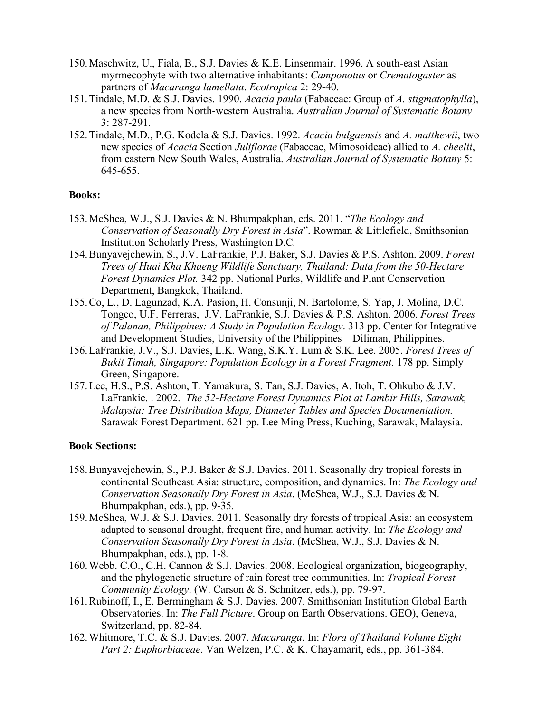- 150.Maschwitz, U., Fiala, B., S.J. Davies & K.E. Linsenmair. 1996. A south-east Asian myrmecophyte with two alternative inhabitants: *Camponotus* or *Crematogaster* as partners of *Macaranga lamellata*. *Ecotropica* 2: 29-40.
- 151.Tindale, M.D. & S.J. Davies. 1990. *Acacia paula* (Fabaceae: Group of *A. stigmatophylla*), a new species from North-western Australia. *Australian Journal of Systematic Botany* 3: 287-291.
- 152.Tindale, M.D., P.G. Kodela & S.J. Davies. 1992. *Acacia bulgaensis* and *A. matthewii*, two new species of *Acacia* Section *Juliflorae* (Fabaceae, Mimosoideae) allied to *A. cheelii*, from eastern New South Wales, Australia. *Australian Journal of Systematic Botany* 5: 645-655.

### **Books:**

- 153.McShea, W.J., S.J. Davies & N. Bhumpakphan, eds. 2011. "*The Ecology and Conservation of Seasonally Dry Forest in Asia*". Rowman & Littlefield, Smithsonian Institution Scholarly Press, Washington D.C*.*
- 154.Bunyavejchewin, S., J.V. LaFrankie, P.J. Baker, S.J. Davies & P.S. Ashton. 2009. *Forest Trees of Huai Kha Khaeng Wildlife Sanctuary, Thailand: Data from the 50-Hectare Forest Dynamics Plot.* 342 pp. National Parks, Wildlife and Plant Conservation Department, Bangkok, Thailand.
- 155.Co, L., D. Lagunzad, K.A. Pasion, H. Consunji, N. Bartolome, S. Yap, J. Molina, D.C. Tongco, U.F. Ferreras, J.V. LaFrankie, S.J. Davies & P.S. Ashton. 2006. *Forest Trees of Palanan, Philippines: A Study in Population Ecology*. 313 pp. Center for Integrative and Development Studies, University of the Philippines – Diliman, Philippines.
- 156.LaFrankie, J.V., S.J. Davies, L.K. Wang, S.K.Y. Lum & S.K. Lee. 2005. *Forest Trees of Bukit Timah, Singapore: Population Ecology in a Forest Fragment.* 178 pp. Simply Green, Singapore.
- 157.Lee, H.S., P.S. Ashton, T. Yamakura, S. Tan, S.J. Davies, A. Itoh, T. Ohkubo & J.V. LaFrankie. . 2002. *The 52-Hectare Forest Dynamics Plot at Lambir Hills, Sarawak, Malaysia: Tree Distribution Maps, Diameter Tables and Species Documentation.* Sarawak Forest Department. 621 pp. Lee Ming Press, Kuching, Sarawak, Malaysia.

#### **Book Sections:**

- 158.Bunyavejchewin, S., P.J. Baker & S.J. Davies. 2011. Seasonally dry tropical forests in continental Southeast Asia: structure, composition, and dynamics. In: *The Ecology and Conservation Seasonally Dry Forest in Asia*. (McShea, W.J., S.J. Davies & N. Bhumpakphan, eds.), pp. 9-35*.*
- 159.McShea, W.J. & S.J. Davies. 2011. Seasonally dry forests of tropical Asia: an ecosystem adapted to seasonal drought, frequent fire, and human activity. In: *The Ecology and Conservation Seasonally Dry Forest in Asia*. (McShea, W.J., S.J. Davies & N. Bhumpakphan, eds.), pp. 1-8*.*
- 160.Webb. C.O., C.H. Cannon & S.J. Davies. 2008. Ecological organization, biogeography, and the phylogenetic structure of rain forest tree communities. In: *Tropical Forest Community Ecology*. (W. Carson & S. Schnitzer, eds.), pp. 79-97.
- 161.Rubinoff, I., E. Bermingham & S.J. Davies. 2007. Smithsonian Institution Global Earth Observatories. In: *The Full Picture*. Group on Earth Observations. GEO), Geneva, Switzerland, pp. 82-84.
- 162.Whitmore, T.C. & S.J. Davies. 2007. *Macaranga*. In: *Flora of Thailand Volume Eight Part 2: Euphorbiaceae*. Van Welzen, P.C. & K. Chayamarit, eds., pp. 361-384.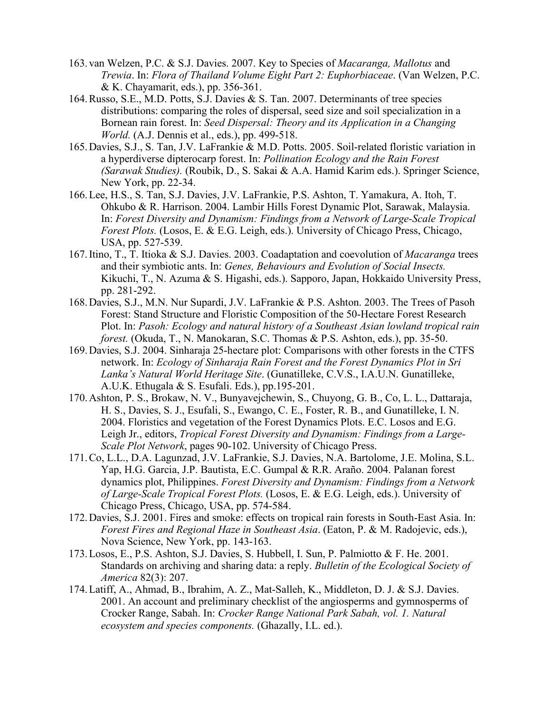- 163.van Welzen, P.C. & S.J. Davies. 2007. Key to Species of *Macaranga, Mallotus* and *Trewia*. In: *Flora of Thailand Volume Eight Part 2: Euphorbiaceae*. (Van Welzen, P.C. & K. Chayamarit, eds.), pp. 356-361.
- 164.Russo, S.E., M.D. Potts, S.J. Davies & S. Tan. 2007. Determinants of tree species distributions: comparing the roles of dispersal, seed size and soil specialization in a Bornean rain forest. In: *Seed Dispersal: Theory and its Application in a Changing World.* (A.J. Dennis et al., eds.), pp. 499-518.
- 165.Davies, S.J., S. Tan, J.V. LaFrankie & M.D. Potts. 2005. Soil-related floristic variation in a hyperdiverse dipterocarp forest. In: *Pollination Ecology and the Rain Forest (Sarawak Studies).* (Roubik, D., S. Sakai & A.A. Hamid Karim eds.). Springer Science, New York, pp. 22-34.
- 166.Lee, H.S., S. Tan, S.J. Davies, J.V. LaFrankie, P.S. Ashton, T. Yamakura, A. Itoh, T. Ohkubo & R. Harrison. 2004. Lambir Hills Forest Dynamic Plot, Sarawak, Malaysia. In: *Forest Diversity and Dynamism: Findings from a Network of Large-Scale Tropical Forest Plots.* (Losos, E. & E.G. Leigh, eds.). University of Chicago Press, Chicago, USA, pp. 527-539.
- 167.Itino, T., T. Itioka & S.J. Davies. 2003. Coadaptation and coevolution of *Macaranga* trees and their symbiotic ants. In: *Genes, Behaviours and Evolution of Social Insects.* Kikuchi, T., N. Azuma & S. Higashi, eds.). Sapporo, Japan, Hokkaido University Press, pp. 281-292.
- 168.Davies, S.J., M.N. Nur Supardi, J.V. LaFrankie & P.S. Ashton. 2003. The Trees of Pasoh Forest: Stand Structure and Floristic Composition of the 50-Hectare Forest Research Plot. In: *Pasoh: Ecology and natural history of a Southeast Asian lowland tropical rain forest.* (Okuda, T., N. Manokaran, S.C. Thomas & P.S. Ashton, eds.), pp. 35-50.
- 169.Davies, S.J. 2004. Sinharaja 25-hectare plot: Comparisons with other forests in the CTFS network. In: *Ecology of Sinharaja Rain Forest and the Forest Dynamics Plot in Sri Lanka's Natural World Heritage Site*. (Gunatilleke, C.V.S., I.A.U.N. Gunatilleke, A.U.K. Ethugala & S. Esufali. Eds.), pp.195-201.
- 170.Ashton, P. S., Brokaw, N. V., Bunyavejchewin, S., Chuyong, G. B., Co, L. L., Dattaraja, H. S., Davies, S. J., Esufali, S., Ewango, C. E., Foster, R. B., and Gunatilleke, I. N. 2004. Floristics and vegetation of the Forest Dynamics Plots. E.C. Losos and E.G. Leigh Jr., editors, *Tropical Forest Diversity and Dynamism: Findings from a Large-Scale Plot Network*, pages 90-102. University of Chicago Press.
- 171.Co, L.L., D.A. Lagunzad, J.V. LaFrankie, S.J. Davies, N.A. Bartolome, J.E. Molina, S.L. Yap, H.G. Garcia, J.P. Bautista, E.C. Gumpal & R.R. Araño. 2004. Palanan forest dynamics plot, Philippines. *Forest Diversity and Dynamism: Findings from a Network of Large-Scale Tropical Forest Plots.* (Losos, E. & E.G. Leigh, eds.). University of Chicago Press, Chicago, USA, pp. 574-584.
- 172.Davies, S.J. 2001. Fires and smoke: effects on tropical rain forests in South-East Asia. In: *Forest Fires and Regional Haze in Southeast Asia*. (Eaton, P. & M. Radojevic, eds.), Nova Science, New York, pp. 143-163.
- 173.Losos, E., P.S. Ashton, S.J. Davies, S. Hubbell, I. Sun, P. Palmiotto & F. He. 2001. Standards on archiving and sharing data: a reply. *Bulletin of the Ecological Society of America* 82(3): 207.
- 174.Latiff, A., Ahmad, B., Ibrahim, A. Z., Mat-Salleh, K., Middleton, D. J. & S.J. Davies. 2001. An account and preliminary checklist of the angiosperms and gymnosperms of Crocker Range, Sabah. In: *Crocker Range National Park Sabah, vol. 1. Natural ecosystem and species components.* (Ghazally, I.L. ed.).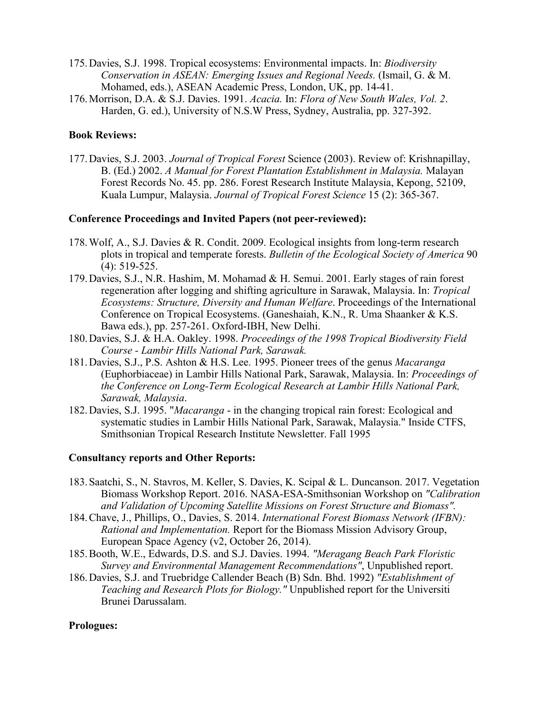- 175.Davies, S.J. 1998. Tropical ecosystems: Environmental impacts. In: *Biodiversity Conservation in ASEAN: Emerging Issues and Regional Needs.* (Ismail, G. & M. Mohamed, eds.), ASEAN Academic Press, London, UK, pp. 14-41.
- 176.Morrison, D.A. & S.J. Davies. 1991. *Acacia.* In: *Flora of New South Wales, Vol. 2*. Harden, G. ed.), University of N.S.W Press, Sydney, Australia, pp. 327-392.

### **Book Reviews:**

177.Davies, S.J. 2003. *Journal of Tropical Forest* Science (2003). Review of: Krishnapillay, B. (Ed.) 2002. *A Manual for Forest Plantation Establishment in Malaysia.* Malayan Forest Records No. 45. pp. 286. Forest Research Institute Malaysia, Kepong, 52109, Kuala Lumpur, Malaysia. *Journal of Tropical Forest Science* 15 (2): 365-367.

### **Conference Proceedings and Invited Papers (not peer-reviewed):**

- 178.Wolf, A., S.J. Davies & R. Condit. 2009. Ecological insights from long-term research plots in tropical and temperate forests. *Bulletin of the Ecological Society of America* 90 (4): 519-525.
- 179.Davies, S.J., N.R. Hashim, M. Mohamad & H. Semui. 2001. Early stages of rain forest regeneration after logging and shifting agriculture in Sarawak, Malaysia. In: *Tropical Ecosystems: Structure, Diversity and Human Welfare*. Proceedings of the International Conference on Tropical Ecosystems. (Ganeshaiah, K.N., R. Uma Shaanker & K.S. Bawa eds.), pp. 257-261. Oxford-IBH, New Delhi.
- 180.Davies, S.J. & H.A. Oakley. 1998. *Proceedings of the 1998 Tropical Biodiversity Field Course - Lambir Hills National Park, Sarawak.*
- 181.Davies, S.J., P.S. Ashton & H.S. Lee. 1995. Pioneer trees of the genus *Macaranga* (Euphorbiaceae) in Lambir Hills National Park, Sarawak, Malaysia. In: *Proceedings of the Conference on Long-Term Ecological Research at Lambir Hills National Park, Sarawak, Malaysia*.
- 182.Davies, S.J. 1995. "*Macaranga* in the changing tropical rain forest: Ecological and systematic studies in Lambir Hills National Park, Sarawak, Malaysia." Inside CTFS, Smithsonian Tropical Research Institute Newsletter. Fall 1995

#### **Consultancy reports and Other Reports:**

- 183.Saatchi, S., N. Stavros, M. Keller, S. Davies, K. Scipal & L. Duncanson. 2017. Vegetation Biomass Workshop Report. 2016. NASA-ESA-Smithsonian Workshop on *"Calibration and Validation of Upcoming Satellite Missions on Forest Structure and Biomass".*
- 184.Chave, J., Phillips, O., Davies, S. 2014. *International Forest Biomass Network (IFBN): Rational and Implementation.* Report for the Biomass Mission Advisory Group, European Space Agency (v2, October 26, 2014).
- 185.Booth, W.E., Edwards, D.S. and S.J. Davies. 1994. *"Meragang Beach Park Floristic Survey and Environmental Management Recommendations"*, Unpublished report.
- 186.Davies, S.J. and Truebridge Callender Beach (B) Sdn. Bhd. 1992) *"Establishment of Teaching and Research Plots for Biology."* Unpublished report for the Universiti Brunei Darussalam.

### **Prologues:**